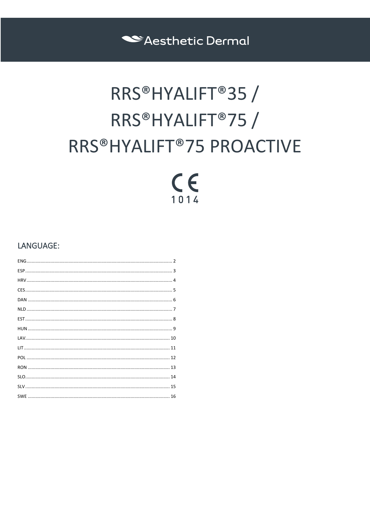Sesthetic Dermal

# RRS®HYALIFT®35 / RRS®HYALIFT®75 / RRS®HYALIFT®75 PROACTIVE

## $C<sub>6</sub>$  $1014$

## LANGUAGE: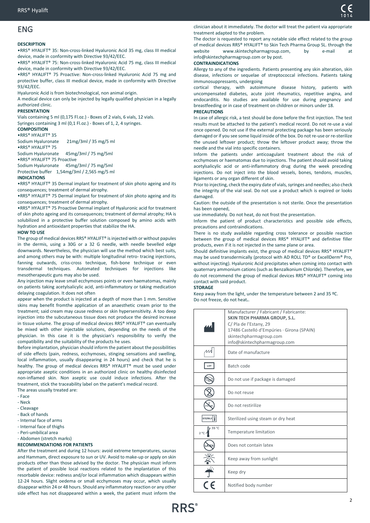## <span id="page-1-0"></span>ENG

#### **DESCRIPTION**

•RRS® HYALIFT® 35: Non-cross-linked Hyaluronic Acid 35 mg, class III medical device, made in conformity with Directive 93/42/EEC.

•RRS® HYALIFT® 75: Non-cross-linked Hyaluronic Acid 75 mg, class III medical device, made in conformity with Directive 93/42/EEC.

•RRS® HYALIFT® 75 Proactive: Non-cross-linked Hyaluronic Acid 75 mg and protective buffer, class III medical device, made in conformity with Directive 93/42/EEC.

Hyaluronic Acid is from biotechnological, non animal origin.

A medical device can only be injected by legally qualified physician in a legally authorized clinic.

#### **PRESENTATION**

Vials containing 5 ml (0,175 Fl.oz.) - Boxes of 2 vials, 6 vials, 12 vials. Syringes containing 3 ml (0,1 Fl.oz.) - Boxes of 1, 2, 4 syringes.

## **COMPOSITION**

•RRS® HYALIFT® 35 Sodium Hyaluronate 21mg/3ml / 35 mg/5 ml

•RRS® HYALIFT® 75

Sodium Hyaluronate 45mg/3ml / 75 mg/5ml •RRS® HYALIFT® 75 Proactive

Sodium Hyaluronate 45mg/3ml / 75 mg/5ml

Protective buffer 1,54mg/3ml / 2,565 mg/5 ml

#### **INDICATIONS**

•RRS® HYALIFT® 35 Dermal implant for treatment of skin photo ageing and its consequences; treatment of dermal atrophy.

•RRS® HYALIFT® 75 Dermal implant for treatment of skin photo ageing and its consequences; treatment of dermal atrophy.

•RRS® HYALIFT® 75 Proactive Dermal implant of Hyaluronic acid for treatment of skin photo ageing and its consequences; treatment of dermal atrophy; HA is solubilized in a protective buffer solution composed by amino acids with hydration and antioxidant properties that stabilize the HA.

#### **HOW TO USE**

The group of medical devices RRS® HYALIFT® is injected with or without papules in the dermis, using a 30G or a 32 G needle, with needle bevelled edge downwards. Nevertheless, the physician will use the method which best suits, and among others may be with: multiple longitudinal retro- tracing injections, fanning outwards, criss-cross technique, fish-bone technique or even transdermal techniques. Automated techniques for injections like mesotherapeutic guns may also be used.

Any injection may leave small ecchymoses points or even haematomas, mainly on patients taking acetylsalicylic acid, anti-inflammatory or taking medication delaying coagulation. It does not often

appear when the product is injected at a depth of more than 1 mm. Sensitive skins may benefit fromthe application of an anaesthetic cream prior to the treatment; said cream may cause redness or skin hypersensitivity. A too deep injection into the subcutaneous tissue does not produce the desired increase in tissue volume. The group of medical devices RRS® HYALIFT® can eventually be mixed with other injectable solutions, depending on the needs of the physician. In this case it is the physician's responsibility to verify the compatibility and the suitability of the products he uses.

Before implantation, physician should inform the patient about the possibilities of side effects (pain, redness, ecchymoses, stinging sensations and swelling, local inflammation, usually disappearing in 24 hours) and check that he is healthy. The group of medical devices RRS® HYALIFT® must be used under appropriate aseptic conditions in an authorized clinic on healthy disinfected non-inflamed skin. Non aseptic use could induce infections. After the treatment, stick the traceability label on the patient's medical record.

The areas usually treated are:

- Face
- Neck
- Cleavage
- Back of hands
- Internal face of arms
- Internal face of thighs
- Peri-umbilical area
- Abdomen (stretch marks)

#### **RECOMMENDATIONS FOR PATIENTS**

After the treatment and during 12 hours: avoid extreme temperatures, saunas and Hammam, direct exposure to sun or UV. Avoid to make-up or apply on skin products other than those advised by the doctor. The physician must inform the patient of possible local reactions related to the implantation of this resorbable device: redness and/or local inflammation which disappears within 12-24 hours. Slight oedema or small ecchymoses may occur, which usually disappear within 24 or 48 hours. Should any inflammatory reaction or any other side effect has not disappeared within a week, the patient must inform the

clinician about it immediately. The doctor will treat the patient via appropriate treatment adapted to the problem.

The doctor is requested to report any notable side effect related to the group of medical devices RRS® HYALIFT® to Skin Tech Pharma Group SL. through the website www.skintechpharmagroup.com, by e-mail at info@skintechpharmagroup.com or by post.

#### **CONTRAINDICATIONS**

Allergy to any of the ingredients. Patients presenting any skin alteration, skin disease, infections or sequelae of streptococcal infections. Patients taking immunosuppressants, undergoing

cortical therapy, with autoimmune disease history, patients with uncompensated diabetes, acute joint rheumatics, repetitive angina, and endocarditis. No studies are available for use during pregnancy and breastfeeding or in case of treatment on children or minors under 18.

#### **PRECAUTIONS**

In case of allergic risk, a test should be done before the first injection. The test results must be attached to the patient's medical record. Do not re-use a vial once opened. Do not use if the external protecting package has been seriously damaged or if you see some liquid inside of the box. Do not re-use or re-sterilize the unused leftover product; throw the leftover product away; throw the needle and the vial into specific containers.

Inform the patients under anticoagulant treatment about the risk of ecchymoses or haematomas due to injections. The patient should avoid taking acetylsalicylic acid or anti-inflammatory drug during the week preceding injections. Do not inject into the blood vessels, bones, tendons, muscles, ligaments or any organ different of skin.

Prior to injecting, check the expiry date of vials, syringes and needles; also check the integrity of the vial seal. Do not use a product which is expired or looks damaged.

Caution: the outside of the presentation is not sterile. Once the presentation has been opened,

use immediately. Do not heat, do not frost the presentation.

Inform the patient of product characteristics and possible side effects, precautions and contraindications.

There is no study available regarding cross tolerance or possible reaction between the group of medical devices RRS® HYALIFT® and definitive filler products, even if it is not injected in the same plane or area.

Should definitive implants exist, the group of medical devices RRS® HYALIFT® may be used transdermically (protocol with AD ROLL TD® or ExcellDerm® Pro, without injecting). Hyaluronic Acid precipitates when coming into contact with quaternary ammonium cations (such as Benzalkonium Chloride). Therefore, we do not recommend the group of medical devices RRS® HYALIFT® coming into contact with said product.

#### **STORAGE**

Keep away from the light, under the temperature between 2 and 35 ºC. Do not freeze, do not heat**.**.

|                       | Manufacturer / Fabricant / Fabricante:<br>SKIN TECH PHARMA GROUP, S.L.<br>C/ Pla de l'Estany, 29<br>17486 Castelló d'Empúries · Girona (SPAIN)<br>skintechpharmagroup.com<br>info@skintechpharmagroup.com |
|-----------------------|-----------------------------------------------------------------------------------------------------------------------------------------------------------------------------------------------------------|
|                       | Date of manufacture                                                                                                                                                                                       |
| LOT                   | Batch code                                                                                                                                                                                                |
|                       | Do not use if package is damaged                                                                                                                                                                          |
|                       | Do not reuse                                                                                                                                                                                              |
|                       | Do not restirilize                                                                                                                                                                                        |
| <b>STERILE</b>        | Sterilized using steam or dry heat                                                                                                                                                                        |
| 35 °C<br>$2^{\circ}C$ | Temperature limitation                                                                                                                                                                                    |
|                       | Does not contain latex                                                                                                                                                                                    |
|                       | Keep away from sunlight                                                                                                                                                                                   |
|                       | Keep dry                                                                                                                                                                                                  |
|                       | Notified body number                                                                                                                                                                                      |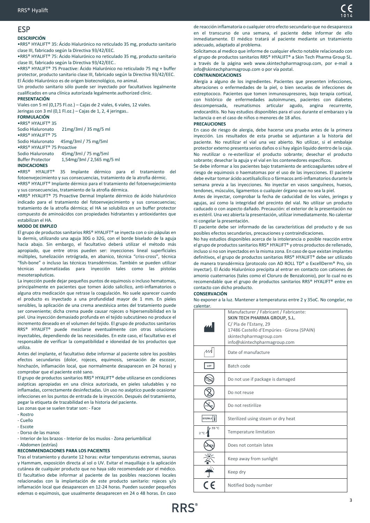## <span id="page-2-0"></span>ESP

#### **DESCRIPCIÓN**

•RRS® HYALIFT® 35: Ácido Hialurónico no reticulado 35 mg, producto sanitario clase III, fabricado según la Directiva 93/42/EEC.

•RRS® HYALIFT® 75: Ácido Hialurónico no reticulado 35 mg, producto sanitario clase III, fabricado según la Directiva 93/42/EEC..

•RRS® HYALIFT® 75 Proactive: Ácido Hialurónico no reticulado 75 mg + buffer protector, producto sanitario clase III, fabricado según la Directiva 93/42/EEC. El Ácido Hialurónico es de origen biotecnológico, no animal.

Un producto sanitario sólo puede ser inyectado por facultativos legalmente cualificados en una clínica autorizada legalmente.authorized clinic.

#### **PRESENTACIÓN**

Viales con 5 ml (0,175 Fl.oz.) – Cajas de 2 viales, 6 viales, 12 viales. Jeringas con 3 ml (0,1 Fl.oz.) – Cajas de 1, 2, 4 jeringas.. **FORMULACIÓN** •RRS® HYALIFT® 35 Sodio Hialuronato 21mg/3ml / 35 mg/5 ml •RRS® HYALIFT® 75 Sodio Hialuronato 45mg/3ml / 75 mg/5ml •RRS® HYALIFT® 75 Proactive Sodio Hialuronato 45mg/3ml / 75 mg/5ml Buffer Protector 1,54mg/3ml / 2,565 mg/5 ml

#### **INDICACIONES**

•RRS® HYALIFT® 35 Implante dérmico para el tratamiento del fotoenvejecimiento y sus consecuencias, tratamiento de la atrofia dérmic.

•RRS® HYALIFT® Implante dérmico para el tratamiento del fotoenvejecimiento y sus consecuencias, tratamiento de la atrofia dérmica.

•RRS® HYALIFT® 75 Proactive Dermal Implante dérmico de ácido hialurónico indicado para el tratamiento del fotoenvejecimiento y sus consecuencias; tratamiento de la atrofia dérmica; el HA se solubiliza en un buffer protector compuesto de aminoácidos con propiedades hidratantes y antioxidantes que estabilizan el HA.

#### **MODO DE EMPLEO**

El grupo de productos sanitarios RRS® HYALIFT® se inyecta con o sin pápulas en la dermis, utilizando una aguja 30G o 32G, con el borde biselado de la aguja hacia abajo. Sin embargo, el facultativo deberá utilizar el método más apropiado, que entre otros pueden ser: inyecciones lineal superficiales múltiples, tunelización retrógrada, en abanico, técnica "criss-cross", técnica "fish-bone" o incluso las técnicas transdérmicas. También se pueden utilizar técnicas automatizadas para inyección tales como las pistolas mesoterapéuticas.

La inyección puede dejar pequeños puntos de equimosis o incluso hematomas, principalmente en pacientes que tomen ácido salicílico, anti-inflamatorios o alguna otra medicación que retrase la coagulación. No suele aparecer cuando el producto es inyectado a una profundidad mayor de 1 mm. En pieles sensibles, la aplicación de una crema anestésica antes del tratamiento puede ser conveniente; dicha crema puede causar rojeces o hipersensibilidad en la piel. Una inyección demasiado profunda en el tejido subcutáneo no produce el incremento deseado en el volumen del tejido. El grupo de productos sanitarios RRS® HYALIFT® puede mezclarse eventualmente con otras soluciones inyectables, dependiendo de las necesidades. En este caso, el facultativo es el responsable de verificar la compatibilidad e idoneidad de los productos que utiliza.

Antes del implante, el facultativo debe informar al paciente sobre los posibles efectos secundarios (dolor, rojeces, equimosis, sensación de escozor, hinchazón, inflamación local, que normalmente desaparecen en 24 horas) y comprobar que el paciente esté sano.

El grupo de productos sanitarios RRS® HYALIFT® debe utilizarse en condiciones asépticas apropiadas en una clínica autorizada, en pieles saludables y no inflamadas, correctamente desinfectadas. Un uso no aséptico puede ocasionar infecciones en los puntos de entrada de la inyección. Después del tratamiento, pegar la etiqueta de trazabilidad en la historia del paciente.

Las zonas que se suelen tratar son: - Face

- Rostro
- Cuello
- Escote
- Dorso de las manos

- Interior de los brazos - Interior de los muslos - Zona periumbilical

#### - Abdomen (estrías)

#### **RECOMMENDACIONES PARA LOS PACIENTES**

Tras el tratamiento y durante 12 horas: evitar temperaturas extremas, saunas y Hammam, exposición directa al sol o UV. Evitar el maquillaje o la aplicación cutánea de cualquier producto que no haya sido recomendado por el médico. El facultativo debe informar al paciente de las posibles reacciones locales relacionadas con la implantación de este producto sanitario: rojeces y/o inflamación local que desaparecen en 12-24 horas. Pueden suceder pequeños edemas o equimosis, que usualmente desaparecen en 24 o 48 horas. En caso

de reacción inflamatoria o cualquier otro efecto secundario que no desaparezca en el transcurso de una semana, el paciente debe informar de ello inmediatamente. El médico tratará al paciente mediante un tratamiento adecuado, adaptado al problema.

Solicitamos al medico que informe de cualquier efecto notable relacionado con el grupo de productos sanitarios RRS® HYALIFT® a Skin Tech Pharma Group SL. a través de la página web www.skintechpharmagroup.com, por e-mail a info@skintechpharmagroup.com o por vía postal.

#### **CONTRAINDICACIONES**

Alergia a alguno de los ingredientes. Pacientes que presenten infecciones, alteraciones o enfermedades de la piel, o bien secuelas de infecciones de estreptococo. Pacientes que tomen inmunosupresores, bajo terapia cortical, con histórico de enfermedades autoinmunes, pacientes con diabetes descompensada, reumatismos articular agudo, angina recurrente, endocarditis. No hay estudios disponibles para el uso durante el embarazo y la lactancia o en el caso de niños o menores de 18 años.

#### **PRECAUCIONES**

En caso de riesgo de alergia, debe hacerse una prueba antes de la primera inyección. Los resultados de esta prueba se adjuntaran a la historia del paciente. No reutilizar el vial una vez abierto. No utilizar, si el embalaje protector externo presenta serios daños o si hay algún líquido dentro de la caja. No reutilizar o re-esterilizar el producto sobrante; desechar el producto sobrante; desechar la aguja y el vial en los contenedores específicos.

Se debe informar a los pacientes bajo tratamiento de anticoagulantes sobre el riesgo de equimosis o haematomas por el uso de las inyecciones. El paciente debe evitar tomar ácido acetilsalicílico o fármacos anti-inflamatorios durante la semana previa a las inyecciones. No inyectar en vasos sanguíneos, huesos, tendones, músculos, ligamentos o cualquier órgano que no sea la piel.

Antes de inyectar, comprobar la fecha de caducidad de los viales, jeringas y agujas, así como la integridad del precinto del vial. No utilizar un producto caducado o con aspecto dañado. Precaución: el exterior de la presentación no es estéril. Una vez abierta la presentación, utilizar inmediatamente. No calentar ni congelar la presentación.

El paciente debe ser informado de las características del producto y de sus posibles efectos secundarios, precauciones y contraindicaciones.

No hay estudios disponibles acerca de la intolerancia o posible reacción entre el grupo de productos sanitarios RRS® HYALIFT® y otros productos de rellenado, incluso si no son inyectados en la misma zona. En caso de que existan implantes definitivos, el grupo de productos sanitarios RRS® HYALIFT® debe ser utilizado de manera transdérmica (protocolo con AD ROLL TD® o ExcellDerm® Pro, sin inyectar). El Ácido Hialurónico precipita al entrar en contacto con cationes de amonio cuaternarios (tales como el Cloruro de Benzalconio), por lo cual no es recomendable que el grupo de productos sanitarios RRS® HYALIFT® entre en contacto con dicho producto.

#### **CONSERVACIÓN**

No exponer a la luz. Mantener a temperaturas entre 2 y 35oC. No congelar, no calentar.

|                       | Manufacturer / Fabricant / Fabricante:<br>SKIN TECH PHARMA GROUP, S.L.<br>C/ Pla de l'Estany, 29<br>17486 Castelló d'Empúries · Girona (SPAIN)<br>skintechpharmagroup.com<br>info@skintechpharmagroup.com |
|-----------------------|-----------------------------------------------------------------------------------------------------------------------------------------------------------------------------------------------------------|
| и                     | Date of manufacture                                                                                                                                                                                       |
| LOT                   | Batch code                                                                                                                                                                                                |
|                       | Do not use if package is damaged                                                                                                                                                                          |
|                       | Do not reuse                                                                                                                                                                                              |
|                       | Do not restirilize                                                                                                                                                                                        |
| <b>STERILE</b>        | Sterilized using steam or dry heat                                                                                                                                                                        |
| 35 °C<br>$2^{\circ}C$ | <b>Temperature limitation</b>                                                                                                                                                                             |
|                       | Does not contain latex                                                                                                                                                                                    |
|                       | Keep away from sunlight                                                                                                                                                                                   |
|                       | Keep dry                                                                                                                                                                                                  |
|                       | Notified body number                                                                                                                                                                                      |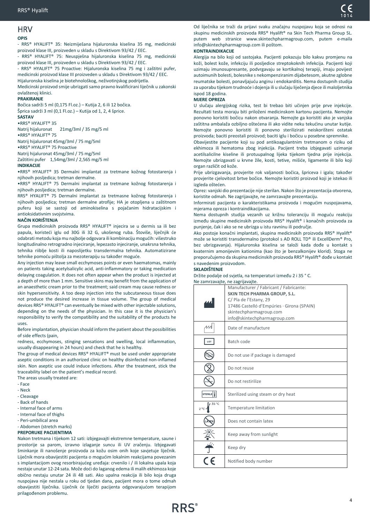## <span id="page-3-0"></span>HRV

#### **OPIS**

- RRS® HYALIFT® 35: Neizmiješana hijaluronska kiselina 35 mg, medicinski proizvod klase III, proizveden u skladu s Direktivom 93/42 / EEC.

RRS® HYALIFT® 75: Neuspješna hijaluronska kiselina 75 mg, medicinski proizvod klase III, proizveden u skladu s Direktivom 93/42 / EEC.

- RRS® HYALIFT® 75 Proactive: Hijaluronska kiselina 75 mg i zaštitni pufer, medicinski proizvod klase III proizveden u skladu s Direktivom 93/42 / EEC. Hijaluronska kiselina je biotehnološkog, neživotinjskog podrijetla. Medicinski proizvod smije ubrizgati samo pravno kvalificirani liječnik u zakonski ovlaštenoj klinici.

#### **PRAKIRANJE**

Bočica sadrži 5 ml (0,175 Fl.oz.) – Kutija 2, 6 ili 12 bočica. Šprica sadrži 3 ml (0,1 Fl.oz.) – Kutija od 1, 2, 4 šprice.

**SASTAV**

•RRS® HYALIFT® 35

Natrij hijaluronat 21mg/3ml / 35 mg/5 ml

•RRS® HYALIFT® 75

Natrij hijaluronat 45mg/3ml / 75 mg/5ml

•RRS® HYALIFT® 75 Proactive

Natrij hijaluronat 45mg/3ml / 75 mg/5ml Zaštitini pufer 1,54mg/3ml / 2,565 mg/5 ml

#### **INDIKACIJE**

•RRS® HYALIFT® 35 Dermalni implantat za tretmane kožnog fotostarenja i njihovih posljedica; tretman dermalne.

•RRS® HYALIFT® 75 Dermalni implantat za tretmane kožnog fotostarenja i njihovih posljedica; tretman dermalne.

RRS® HYALIFT® 75 Dermalni implantat za tretmasne kožnog fotostarenja i njihovih posljedica; tretman dermalne atrofije; HA je otopljena u zaštitnom puferu koji se sastoji od aminokiselina s pojačanim hidratacijskim i antioksidativnim svojstvima.

#### **NAČIN KORIŠTENJA**

Grupa medicinskih proizvoda RRS® HYALIFT® injecira se u dermis sa ili bez papula, koristeći iglu od 30G ili 32 G, ukošenog ruba. Štoviše, liječnjik će odabrati metodu koja mu najbolje odgovara ili kombinaciju mogućih: višestruko longitudinalno retrogradno injeciranje, lepezasto injeciranje, unakrsna tehnika, tehnika riiblje kosti ili naposlijetku transdermalna tehnika. Automatizirane tehnike pomoću pištolja za mezoterapiju su također moguće.

Any injection may leave small ecchymoses points or even haematomas, mainly on patients taking acetylsalicylic acid, anti-inflammatory or taking medication delaying coagulation. It does not often appear when the product is injected at a depth of more than 1 mm. Sensitive skins may benefit from the application of an anaesthetic cream prior to the treatment; said cream may cause redness or skin hypersensitivity. A too deep injection into the subcutaneous tissue does not produce the desired increase in tissue volume. The group of medical devices RRS® HYALIFT® can eventually be mixed with other injectable solutions, depending on the needs of the physician. In this case it is the physician's responsibility to verify the compatibility and the suitability of the products he uses.

Before implantation, physician should inform the patient about the possibilities of side effects (pain,

redness, ecchymoses, stinging sensations and swelling, local inflammation, usually disappearing in 24 hours) and check that he is healthy.

The group of medical devices RRS® HYALIFT® must be used under appropriate aseptic conditions in an authorized clinic on healthy disinfected non-inflamed skin. Non aseptic use could induce infections. After the treatment, stick the traceability label on the patient's medical record.

The areas usually treated are: - Face

- Neck
- Cleavage
- Back of hands
- Internal face of arms
- Internal face of thighs
- Peri-umbilical area
- Abdomen (stretch marks)

## **PREPORUKE PACIJENTIMA**

Nakon tretmana i tijekom 12 sati: izbjegavajti ekstremne temperature, saune i prostorije sa parom, izravno izlaganje suncu ili UV zračenju. Izbjegavati šminkanje ili nanošenje proizvoda za kožu osim onih koje savjetuje liječnik. Liječnik mora obavijestiti pacijenta o mogućim lokalnim reakcijama povezanim s implantacijom ovog resorbirajućeg uređaja: crvenilo i / ili lokalna upala koja nestaje unutar 12-24 sata. Može doći do laganog edema ili malih ekhimoza koje obično nestaju unutar 24 ili 48 sati. Ako upalna reakcija ili bilo koja druga nuspojava nije nestala u roku od tjedan dana, pacijent mora o tome odmah obavijestiti liječnika. Liječnik će liječiti pacijenta odgovarajućom terapijom prilagođenom problemu.

Od liječnika se traži da prijavi svaku značajnu nuspojavu koja se odnosi na skupinu medicinskih proizvoda RRS® Hyalift® na Skin Tech Pharma Group SL. putem web stranice www.skintechpharmagroup.com, putem e-maila info@skintechpharmagroup.com ili poštom.

#### **KONTRAINDIKACIJE**

Alergija na bilo koji od sastojaka. Pacijenti pokazuju bilo kakvu promjenu na koži, bolest kože, infekciju ili posljedice streptokoknih infekcija. Pacijenti koji uzimaju imunosupresante, podvrgavaju se kortikalnoj terapiji, imaju povijest autoimunih bolesti, bolesnike s nekompenziranim dijabetesom, akutne zglobne reumatske bolesti, ponavljajuću anginu i endokarditis. Nema dostupnih studija za uporabu tijekom trudnoće i dojenja ili u slučaju liječenja djece ili maloljetnika ispod 18 godina.

#### **MJERE OPREZA**

U slučaju alergijskog rizika, test bi trebao biti učinjen prije prve injekcije. Rezultati testa moraju biti priloženi medicinskom kartonu pacijenta. Nemojte ponovno koristiti bočicu nakon otvaranja. Nemojte ga koristiti ako je vanjska zaštitna ambalaža ozbiljno oštećena ili ako vidite neku tekućinu unutar kutije. Nemojte ponovno koristiti ili ponovno sterilizirati neiskorišteni ostatak proizvoda; baciti preostali proizvod; baciti iglu i bočicu u posebne spremnike.

Obavijestite pacijente koji su pod antikoagulantnim tretmanom o riziku od ekhimoza ili hematoma zbog injekcija. Pacijent treba izbjegavati uzimanje acetilsalicilne kiseline ili protuupalnog lijeka tijekom tjedna prije injekcija. Nemojte ubrizgavati u krvne žile, kosti, tetive, mišiće, ligamente ili bilo koji organ različit od kože.

Prije ubrizgavanja, provjerite rok valjanosti bočica, špriceva i igala; također provjerite cjelovitost brtve bočice. Nemojte koristiti proizvod koji je istekao ili izgleda oštećen.

Oprez: vanjski dio prezentacije nije sterilan. Nakon što je prezentacija otvorena, koristite odmah. Ne zagrijavajte, ne zamrzavajte prezentaciju.

Informirati pacijenta o karakteristikama proizvoda i mogućim nuspojavama, mjerama opreza i kontraindikacijama.

Nema dostupnih studija vezanih uz križnu toleranciju ili moguću reakciju između skupine medicinskih proizvoda RRS® Hyalift® i konačnih proizvoda za punjenje, čak i ako se ne ubrizga u istu ravninu ili područje.

Ako postoje konačni implantati, skupina medicinskih proizvoda RRS® Hyalift® može se koristiti transdermalno (protokol s AD ROLL TD® ili ExcellDerm® Pro, bez ubrizgavanja). Hijaluronska kiselina se taloži kada dođe u kontakt s kvaternim amonijevim kationima (kao što je benzalkonijev klorid). Stoga ne preporučujemo da skupina medicinskih proizvoda RRS® Hyalift® dođe u kontakt s navedenim proizvodom.

#### **SKLADIŠTENJE**

Držite podalje od svjetla, na temperaturi između 2 i 35 ° C. Ne zamrzavajte, ne zagrijavajte.

|                       | Manufacturer / Fabricant / Fabricante:     |
|-----------------------|--------------------------------------------|
|                       | <b>SKIN TECH PHARMA GROUP, S.L.</b>        |
|                       | C/ Pla de l'Estany, 29                     |
|                       | 17486 Castelló d'Empúries · Girona (SPAIN) |
|                       | skintechpharmagroup.com                    |
|                       | info@skintechpharmagroup.com               |
| М                     | Date of manufacture                        |
| LOT                   | Batch code                                 |
|                       | Do not use if package is damaged           |
|                       | Do not reuse                               |
|                       | Do not restirilize                         |
| <b>STERILE</b>        | Sterilized using steam or dry heat         |
| 35 °C<br>$2^{\circ}C$ | Temperature limitation                     |
|                       | Does not contain latex                     |
|                       | Keep away from sunlight                    |
|                       | Keep dry                                   |
|                       | Notified body number                       |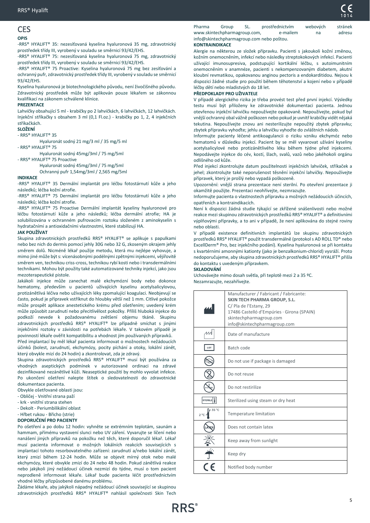#### <span id="page-4-0"></span>CES **OPIS**

-RRS® HYALIFT® 35: nezesíťovaná kyselina hyaluronová 35 mg, zdravotnický prostředek třídy III, vyrobený v souladu se směrnicí 93/42/EHS.

-RRS® HYALIFT® 75: nezesíťovaná kyselina hyaluronová 75 mg, zdravotnický prostředek třídy III, vyrobený v souladu se směrnicí 93/42/EHS.

-RRS® HYALIFT® 75 Proactive: Kyselina hyaluronová 75 mg bez zesíťování a ochranný pufr, zdravotnický prostředek třídy III, vyrobený v souladu se směrnicí 93/42/EHS.

Kyselina hyaluronová je biotechnologického původu, není živočišného původu. Zdravotnický prostředek může být aplikován pouze lékařem se zákonnou kvalifikací na zákonem schválené klinice.

#### **PREZENTACE**

Lahvičky obsahující 5 ml - krabičky po 2 lahvičkách, 6 lahvičkách, 12 lahvičkách. Injekční stříkačky s obsahem 3 ml (0,1 Fl.oz.) - krabičky po 1, 2, 4 injekčních stříkačkách.

#### **SLOŽENÍ**

- RRS® HYALIFT® 35

Hyaluronát sodný 21 mg/3 ml / 35 mg/5 ml - RRS® HYALIFT® 75

Hyaluronát sodný 45mg/3ml / 75 mg/5ml

- RRS® HYALIFT® 75 Proactive

Hyaluronát sodný 45mg/3ml / 75 mg/5ml Ochranný pufr 1,54mg/3ml / 2,565 mg/5ml

#### **INDIKACE**

-RRS® HYALIFT® 35 Dermální implantát pro léčbu fotostárnutí kůže a jeho následků; léčba kožní atrofie.

-RRS® HYALIFT® 75 Dermální implantát pro léčbu fotostárnutí kůže a jeho následků; léčba kožní atrofie.

-RRS® HYALIFT® 75 Proactive Dermální implantát kyseliny hyaluronové pro léčbu fotostárnutí kůže a jeho následků; léčba dermální atrofie; HA je solubilizována v ochranném pufrovacím roztoku složeném z aminokyselin s hydratačními a antioxidačními vlastnostmi, které stabilizují HA.

#### **JAK POUŽÍVAT**

Skupina zdravotnických prostředků RRS® HYALIFT® se aplikuje s papulkami nebo bez nich do dermis pomocí jehly 30G nebo 32 G, zkoseným okrajem jehly směrem dolů. Nicméně lékař použije metodu, která mu nejlépe vyhovuje, a mimo jiné může být s: vícenásobnými podélnými zpětnými injekcemi, vějířovitě směrem ven, technikou criss-cross, technikou rybí kosti nebo i transdermálními technikami. Mohou být použity také automatizované techniky injekcí, jako jsou mezoterapeutické pistole.

Jakákoli injekce může zanechat malé ekchymózní body nebo dokonce hematomy, především u pacientů užívajících kyselinu acetylsalicylovou, protizánětlivá léčiva nebo užívajících léky zpomalující koagulaci. Neobjevují se často, pokud je přípravek vstříknut do hloubky větší než 1 mm. Citlivé pokožce může prospět aplikace anestetického krému před ošetřením; uvedený krém může způsobit zarudnutí nebo přecitlivělost pokožky. Příliš hluboká injekce do podkoží nevede k požadovanému zvětšení objemu tkáně. Skupinu zdravotnických prostředků RRS® HYALIFT® lze případně smíchat s jinými injekčními roztoky v závislosti na potřebách lékaře. V takovém případě je povinností lékaře ověřit kompatibilitu a vhodnost jím používaných přípravků.

Před implantací by měl lékař pacienta informovat o možnostech nežádoucích účinků (bolest, zarudnutí, ekchymózy, pocity píchání a otoky, lokální zánět, který obvykle mizí do 24 hodin) a zkontrolovat, zda je zdravý.

Skupina zdravotnických prostředků RRS® HYALIFT® musí být používána za vhodných aseptických podmínek v autorizované ordinaci na zdravé dezinfikované nezánětlivé kůži. Neaseptické použití by mohlo vyvolat infekce. Po ukončení ošetření nalepte štítek o sledovatelnosti do zdravotnické dokumentace pacienta.

Obvykle ošetřované oblasti jsou:

- Obličej Vnitřní strana paží
- krk vnitřní strana stehen
- Dekolt Periumbilikální oblast

## - Hřbet rukou - Břicho (strie)

**DOPORUČENÍ PRO PACIENTY**

Po ošetření a po dobu 12 hodin: vyhněte se extrémním teplotám, saunám a hammam, přímému vystavení slunci nebo UV záření. Vyvarujte se líčení nebo nanášení jiných přípravků na pokožku než těch, které doporučil lékař. Lékař musí pacienta informovat o možných lokálních reakcích souvisejících s implantací tohoto resorbovatelného zařízení: zarudnutí a/nebo lokální zánět, který zmizí během 12-24 hodin. Může se objevit mírný otok nebo malé ekchymózy, které obvykle zmizí do 24 nebo 48 hodin. Pokud zánětlivá reakce nebo jakýkoli jiný nežádoucí účinek nezmizí do týdne, musí o tom pacient neprodleně informovat lékaře. Lékař bude pacienta léčit prostřednictvím vhodné léčby přizpůsobené danému problému.

Žádáme lékaře, aby jakýkoli nápadný nežádoucí účinek související se skupinou zdravotnických prostředků RRS® HYALIFT® nahlásil společnosti Skin Tech Pharma Group SL. prostřednictvím webových stránek www.skintechpharmagroup.com, e-mailem na adresu info@skintechpharmagroup.com nebo poštou.

#### **KONTRAINDIKACE**

Alergie na některou ze složek přípravku. Pacienti s jakoukoli kožní změnou, kožním onemocněním, infekcí nebo následky streptokokových infekcí. Pacienti užívající imunosupresiva, podstupující kortikální léčbu, s autoimunitním onemocněním v anamnéze, pacienti s nekompenzovaným diabetem, akutní kloubní revmatikou, opakovanou anginou pectoris a endokarditidou. Nejsou k dispozici žádné studie pro použití během těhotenství a kojení nebo v případě léčby dětí nebo mladistvých do 18 let.

#### **PŘEDPOKLADY PRO UŽIVATELE**

V případě alergického rizika je třeba provést test před první injekcí. Výsledky testu musí být přiloženy ke zdravotnické dokumentaci pacienta. Jednou otevřenou injekční lahvičku nepoužívejte opakovaně. Nepoužívejte, pokud byl vnější ochranný obal vážně poškozen nebo pokud je uvnitř krabičky vidět nějaká tekutina. Nepoužívejte znovu ani nesterilizujte nepoužitý zbytek přípravku; zbytek přípravku vyhoďte; jehlu a lahvičku vyhoďte do zvláštních nádob.

Informujte pacienty léčené antikoagulancii o riziku vzniku ekchymóz nebo hematomů v důsledku injekcí. Pacient by se měl vyvarovat užívání kyseliny acetylsalicylové nebo protizánětlivého léku během týdne před injekcemi. Nepodávejte injekce do cév, kostí, šlach, svalů, vazů nebo jakéhokoli orgánu odlišného od kůže.

Před injekcí zkontrolujte datum použitelnosti injekčních lahviček, stříkaček a jehel; zkontrolujte také neporušenost těsnění injekční lahvičky. Nepoužívejte přípravek, který je prošlý nebo vypadá poškozeně.

Upozornění: vnější strana prezentace není sterilní. Po otevření prezentace ji okamžitě použijte. Prezentaci neohřívejte, nezmrazujte.

Informujte pacienta o vlastnostech přípravku a možných nežádoucích účincích, opatřeních a kontraindikacích.

Není k dispozici žádná studie týkající se zkřížené snášenlivosti nebo možné reakce mezi skupinou zdravotnických prostředků RRS® HYALIFT® a definitivními výplňovými přípravky, a to ani v případě, že není aplikována do stejné roviny nebo oblasti.

V případě existence definitivních implantátů lze skupinu zdravotnických prostředků RRS® HYALIFT® použít transdermálně (protokol s AD ROLL TD® nebo ExcellDerm® Pro, bez injekčního podání). Kyselina hyaluronová se při kontaktu s kvartérními amonnými kationty (jako je benzalkonium-chlorid) vysráží. Proto nedoporučujeme, aby skupina zdravotnických prostředků RRS® HYALIFT® přišla do kontaktu s uvedeným přípravkem.

#### **SKLADOVÁNÍ**

Uchovávejte mimo dosah světla, při teplotě mezi 2 a 35 ºC. Nezamrazujte, nezahřívejte.

|                 | Manufacturer / Fabricant / Fabricante:<br>SKIN TECH PHARMA GROUP, S.L.<br>C/ Pla de l'Estany, 29<br>17486 Castelló d'Empúries · Girona (SPAIN)<br>skintechpharmagroup.com<br>info@skintechpharmagroup.com |
|-----------------|-----------------------------------------------------------------------------------------------------------------------------------------------------------------------------------------------------------|
|                 | Date of manufacture                                                                                                                                                                                       |
| LOT             | Batch code                                                                                                                                                                                                |
|                 | Do not use if package is damaged                                                                                                                                                                          |
|                 | Do not reuse                                                                                                                                                                                              |
|                 | Do not restirilize                                                                                                                                                                                        |
| <b>STERILE</b>  | Sterilized using steam or dry heat                                                                                                                                                                        |
| 35 °C<br>$2 °C$ | Temperature limitation                                                                                                                                                                                    |
|                 | Does not contain latex                                                                                                                                                                                    |
|                 | Keep away from sunlight                                                                                                                                                                                   |
|                 | Keep dry                                                                                                                                                                                                  |
|                 | Notified body number                                                                                                                                                                                      |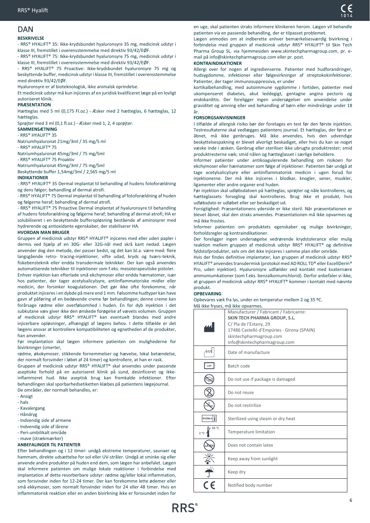## <span id="page-5-0"></span>DAN

## **BESKRIVELSE**

- RRS® HYALIFT® 35: Ikke-krydsbundet hyaluronsyre 35 mg, medicinsk udstyr i klasse III, fremstillet i overensstemmelse med direktiv 93/42/EØF.

- RRS® HYALIFT® 75: Ikke-krydsbundet hyaluronsyre 75 mg, medicinsk udstyr i klasse III, fremstillet i overensstemmelse med direktiv 93/42/EØF.

- RRS® HYALIFT® 75 Proactive: Ikke-krydsbundet hyaluronsyre 75 mg og beskyttende buffer, medicinsk udstyr i klasse III, fremstillet i overensstemmelse med direktiv 93/42/EØF.

Hyaluronsyre er af bioteknologisk, ikke animalsk oprindelse.

Et medicinsk udstyr må kun injiceres af en juridisk kvalificeret læge på en lovligt autoriseret klinik.

#### **PRÆSENTATION**

Hætteglas med 5 ml (0,175 Fl.oz.) - Æsker med 2 hætteglas, 6 hætteglas, 12 hætteglas.

Sprøjter med 3 ml (0,1 fl.oz.) - Æsker med 1, 2, 4 sprøjter.

#### **SAMMENSÆTNING** - RRS® HYALIFT® 35

Natriumhyaluronat 21mg/3ml / 35 mg/5 ml

- RRS® HYALIFT® 75

Natriumhyaluronat 45mg/3ml / 75 mg/5ml

- RRS® HYALIFT® 75 Proaktiv

Natriumhyaluronat 45mg/3ml / 75 mg/5ml

Beskyttende buffer 1,54mg/3ml / 2,565 mg/5 ml

#### **INDIKATIONER**

- RRS® HYALIFT® 35 Dermal implantat til behandling af hudens fotoforældning og dens følger; behandling af dermal atrofi.

- RRS® HYALIFT® 75 Dermal implantat til behandling af fotoforældning af huden og følgerne heraf; behandling af dermal atrofi.

- RRS® HYALIFT® 75 Proactive Dermal implantat af hyaluronsyre til behandling af hudens fotoforældning og følgerne heraf; behandling af dermal atrofi; HA er solubiliseret i en beskyttende bufferopløsning bestående af aminosyrer med hydrerende og antioxidante egenskaber, der stabiliserer HA.

#### **HVORDAN MAN BRUGER**

Gruppen af medicinsk udstyr RRS® HYALIFT® injiceres med eller uden papler i dermis ved hjælp af en 30G- eller 32G-nål med skrå kant nedad. Lægen anvender dog den metode, der passer bedst, og det kan bl.a. være med: flere langsgående retro- tracing-injektioner, vifte udad, kryds og tværs-teknik, fiskebensteknik eller endda transdermale teknikker. Der kan også anvendes automatiserede teknikker til injektioner som f.eks. mesoterapeutiske pistoler. Enhver injektion kan efterlade små ekchymoser eller endda hæmatomer, især hos patienter, der tager acetylsalicylsyre, antiinflammatoriske midler eller medicin, der forsinker koagulationen. Det gør ikke ofte forekomme, når produktet injiceres i en dybde på mere end 1 mm. Følsomme hudtyper kan have gavn af påføring af en bedøvende creme før behandlingen; denne creme kan forårsage rødme eller overfølsomhed i huden. En for dyb injektion i det subkutane væv giver ikke den ønskede forøgelse af vævets volumen. Gruppen af medicinsk udstyr RRS® HYALIFT® kan eventuelt blandes med andre injicerbare opløsninger, afhængigt af lægens behov. I dette tilfælde er det lægens ansvar at kontrollere kompatibiliteten og egnetheden af de produkter, han anvender.

Før implantation skal lægen informere patienten om mulighederne for bivirkninger (smerter,

rødme, økokymoser, stikkende fornemmelser og hævelse, lokal betændelse, der normalt forsvinder i løbet af 24 timer) og kontrollere, at han er rask.

Gruppen af medicinsk udstyr RRS® HYALIFT® skal anvendes under passende aseptiske forhold på en autoriseret klinik på sund, desinficeret og ikkeinflammeret hud. Ikke aseptisk brug kan fremkalde infektioner. Efter behandlingen skal sporbarhedsetiketten klæbes på patientens lægejournal. De områder, der normalt behandles, er:

- Ansigt
- hals
- Kavalergang
- Håndryg
- Indvendig side af armene
- Indvendig side af lårene
- Peri-umbilikalt område
- mave (strækmærker)

## **ANBEFALINGER TIL PATIENTER**

Efter behandlingen og i 12 timer: undgå ekstreme temperaturer, saunaer og hammam, direkte udsættelse for sol eller UV-stråler. Undgå at sminke sig eller anvende andre produkter på huden end dem, som lægen har anbefalet. Lægen skal informere patienten om mulige lokale reaktioner i forbindelse med implantation af dette resorberbare udstyr: rødme og/eller lokal inflammation, som forsvinder inden for 12-24 timer. Der kan forekomme lette ødemer eller små ekkymoser, som normalt forsvinder inden for 24 eller 48 timer. Hvis en inflammatorisk reaktion eller en anden bivirkning ikke er forsvundet inden for

en uge, skal patienten straks informere klinikeren herom. Lægen vil behandle patienten via en passende behandling, der er tilpasset problemet.

Lægen anmodes om at indberette enhver bemærkelsesværdig bivirkning i forbindelse med gruppen af medicinsk udstyr RRS® HYALIFT® til Skin Tech Pharma Group SL. via hjemmesiden www.skintechpharmagroup.com, pr. email på info@skintechpharmagroup.com eller pr. post.

## **KONTRAINDIKATIONER**

Allergi over for nogen af ingredienserne. Patienter med hudforandringer, hudsygdomme, infektioner eller følgevirkninger af streptokokinfektioner. Patienter, der tager immunosuppressiva, er under

kortikalbehandling, med autoimmune sygdomme i fortiden, patienter med ukompenseret diabetes, akut leddegigt, gentagne angina pectoris og endokarditis. Der foreligger ingen undersøgelser om anvendelse under graviditet og amning eller ved behandling af børn eller mindreårige under 18 år.

#### **FORSORGSANVISNINGER**

I tilfælde af allergisk risiko bør der foretages en test før den første injektion. Testresultaterne skal vedlægges patientens journal. Et hætteglas, der først er åbnet, må ikke genbruges. Må ikke anvendes, hvis den udvendige beskyttelsespakning er blevet alvorligt beskadiget, eller hvis du kan se noget væske inde i æsken. Genbrug eller steriliser ikke ubrugte produktrester; smid produktresterne væk; smid nålen og hætteglasset i særlige beholdere.

Informer patienter under antikoagulerende behandling om risikoen for ekchymoser eller hæmatomer som følge af injektioner. Patienten bør undgå at tage acetylsalicylsyre eller antiinflammatorisk medicin i ugen forud for injektionerne. Der må ikke injiceres i blodkar, knogler, sener, muskler, ligamenter eller andre organer end huden.

Før injektion skal udløbsdatoen på hætteglas, sprøjter og nåle kontrolleres, og hætteglassets forsegling skal kontrolleres. Brug ikke et produkt, hvis udløbsdato er udløbet eller ser beskadiget ud.

Forsigtighed: Præsentationens yderside er ikke steril. Når præsentationen er blevet åbnet, skal den straks anvendes. Præsentationen må ikke opvarmes og må ikke frostes.

Informer patienten om produktets egenskaber og mulige bivirkninger, forholdsregler og kontraindikationer.

Der foreligger ingen undersøgelse vedrørende krydstolerance eller mulig reaktion mellem gruppen af medicinsk udstyr RRS® HYALIFT® og definitive fyldstofprodukter, selv om det ikke injiceres i samme plan eller område.

Hvis der findes definitive implantater, kan gruppen af medicinsk udstyr RRS® HYALIFT® anvendes transdermisk (protokol med AD ROLL TD® eller ExcellDerm® Pro, uden injektion). Hyaluronsyre udfælder ved kontakt med kvaternære ammoniumkationer (som f.eks. benzalkoniumchlorid). Derfor anbefaler vi ikke, at gruppen af medicinsk udstyr RRS® HYALIFT® kommer i kontakt med nævnte produkt.

#### **OPBEVARING**

Opbevares væk fra lys, under en temperatur mellem 2 og 35 ºC. då ikke fryses opp

|                       | ivid ikke ilyses, ilid ikke upvalliles.<br>Manufacturer / Fabricant / Fabricante: |
|-----------------------|-----------------------------------------------------------------------------------|
|                       | <b>SKIN TECH PHARMA GROUP, S.L.</b>                                               |
|                       | C/ Pla de l'Estany, 29                                                            |
|                       | 17486 Castelló d'Empúries · Girona (SPAIN)                                        |
|                       | skintechpharmagroup.com                                                           |
|                       | info@skintechpharmagroup.com                                                      |
| ЛA                    | Date of manufacture                                                               |
| LOT                   | Batch code                                                                        |
|                       | Do not use if package is damaged                                                  |
|                       | Do not reuse                                                                      |
|                       | Do not restirilize                                                                |
| <b>STERILE</b>        | Sterilized using steam or dry heat                                                |
| 35 °C<br>$2^{\circ}C$ | Temperature limitation                                                            |
|                       | Does not contain latex                                                            |
|                       | Keep away from sunlight                                                           |
|                       | Keep dry                                                                          |
|                       | Notified body number                                                              |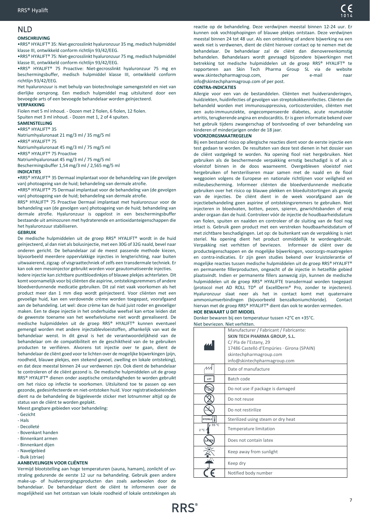#### <span id="page-6-0"></span>**OMSCHRIJVING**

•RRS® HYALIFT® 35: Niet-gecrosslinkt hyaluronzuur 35 mg, medisch hulpmiddel klasse III, ontwikkeld conform richtlijn 93/42/EEG.

•RRS® HYALIFT® 75: Niet-gecrosslinkt hyaluronzuur 75 mg, medisch hulpmiddel klasse III, ontwikkeld conform richtlijn 93/42/EEG.

•RRS® HYALIFT® 75 Proactive: Niet-gecrosslinkt hyaluronzuur 75 mg en beschermingsbuffer, medisch hulpmiddel klasse III, ontwikkeld conform richtlijn 93/42/EEG.

Het hyaluronzuur is met behulp van biotechnologie samengesteld en niet van dierlijke oorsprong. Een medisch hulpmiddel mag uitsluitend door een bevoegde arts of een bevoegde behandelaar worden geïnjecteerd.

#### **VERPAKKING**

Fiolen met 5 ml inhoud. - Dozen met 2 fiolen, 6 fiolen, 12 fiolen. Spuiten met 3 ml inhoud. - Dozen met 1, 2 of 4 spuiten.

#### **SAMENSTELLING**

•RRS® HYALIFT® 35

Natriumhyaluronaat 21 mg/3 ml / 35 mg/5 ml

•RRS® HYALIFT® 75

Natriumhyaluronaat 45 mg/3 ml / 75 mg/5 ml

•RRS® HYALIFT® 75 Proactive

Natriumhyaluronaat 45 mg/3 ml / 75 mg/5 ml

#### Beschermingsbuffer 1,54 mg/3 ml / 2,565 mg/5 ml **INDICATIES**

•RRS® HYALIFT® 35 Dermaal implantaat voor de behandeling van (de gevolgen van) photoageing van de huid; behandeling van dermale atrofie.

•RRS® HYALIFT® 75 Dermaal implantaat voor de behandeling van (de gevolgen van) photoageing van de huid; behandeling van dermale atrofie.

RRS® HYALIFT® 75 Proactive Dermaal implantaat met hyaluronzuur voor de behandeling van (de gevolgen van) photoageing van de huid; behandeling van dermale atrofie. Hyaluronzuur is opgelost in een beschermingsbuffer bestaande uit aminozuren met hydraterende en antioxidanteigenschappen die het hyaluronzuur stabiliseren.

#### **GEBRUIK**

De medische hulpmiddelen uit de groep RRS® HYALIFT® wordt in de huid geïnjecteerd, al dan niet als bolusinjectie, met een 30G of 32G naald, bevel naar onderen gericht. De behandelaar zal de meest passende methode kiezen, bijvoorbeeld meerdere oppervlakkige injecties in lengterichting, naar buiten uitwaaierend, zigzag- of visgraattechniek of zelfs een transdermale techniek. Er kan ook een mesoinjector gebruikt worden voor geautomatiseerde injecties.

Iedere injectie kan zichtbare puntbloedinkjes of blauwe plekjes achterlaten. Dit komt voornamelijk voor bij cliënten die aspirine, ontstekingsremmers of andere bloedverdunnende medicatie gebruiken. Dit zal niet vaak voorkomen als het product meer dan 1 mm diep wordt geïnjecteerd. Voor cliënten met een gevoelige huid, kan een verdovende crème worden toegepast, voorafgaand aan de behandeling. Let wel: deze crème kan de huid juist roder en gevoeliger maken. Een te diepe injectie in het onderhuidse weefsel kan ertoe leiden dat de gewenste toename van het weefselvolume niet wordt gerealiseerd. De medische hulpmiddelen uit de groep RRS® HYALIFT® kunnen eventueel gemengd worden met andere injectablevloeistoffen, afhankelijk van wat de behandelaar wenst. In dit geval is het de verantwoordelijkheid van de behandelaar om de compatibiliteit en de geschiktheid van de te gebruiken producten te verifiëren. Alvorens tot injectie over te gaan, dient de behandelaar de cliënt goed voor te lichten over de mogelijke bijwerkingen (pijn, roodheid, blauwe plekjes, een stekend gevoel, zwelling en lokale ontsteking), en dat deze meestal binnen 24 uur verdwenen zijn. Ook dient de behandelaar te controleren of de cliënt gezond is. De medische hulpmiddelen uit de groep RRS® HYALIFT® dienen onder aseptische omstandigheden te worden gebruikt om het risico op infectie te voorkomen. Uitsluitend toe te passen op een gezonde, gedesinfecteerde en niet-ontstoken huid. Voor registratiedoeleinden dient na de behandeling de bijgeleverde sticker met lotnummer altijd op de status van de cliënt te worden geplakt.

Meest gangbare gebieden voor behandeling:

- Gezicht
- Hals
- Decolleté
- Bovenkant handen
- Binnenkant armen
- Binnenkant dijen
- Navelgebied
- Buik (striae)

#### **AANBEVELINGEN VOOR CLIËNTEN**

Vermijd blootstelling aan hoge temperaturen (sauna, hamam), zonlicht of uvstraling gedurende de eerste 12 uur na behandeling. Gebruik geen andere make-up- of huidverzorgingsproducten dan zoals aanbevolen door de behandelaar. De behandelaar dient de cliënt te informeren over de mogelijkheid van het ontstaan van lokale roodheid of lokale ontstekingen als

reactie op de behandeling. Deze verdwijnen meestal binnen 12-24 uur. Er kunnen ook vochtophopingen of blauwe plekjes ontstaan. Deze verdwijnen meestal binnen 24 tot 48 uur. Als een ontsteking of andere bijwerking na een week niet is verdwenen, dient de cliënt hierover contact op te nemen met de behandelaar. De behandelaar zal de cliënt dan dienovereenkomstig behandelen. Behandelaars wordt gevraagd bijzondere bijwerkingen met betrekking tot medische hulpmiddelen uit de groep RRS® HYALIFT® te rapporteren aan Skin Tech Pharma Group SL via de website www.skintechpharmagroup.com. per e-mail naar info@skintechpharmagroup.com of per post.

#### **CONTRA-INDICATIES**

Allergie voor een van de bestanddelen. Cliënten met huidveranderingen, huidziekten, huidinfecties of gevolgen van streptokokkeninfecties. Cliënten die behandeld worden met immunosuppressiva, corticosteroïden, cliënten met een auto-immuunziekte, ongecompenseerde diabetes, acute reumatoïde artritis, terugkerende angina en endocarditis. Er is geen informatie bekend over het gebruik tijdens zwangerschap of borstvoeding of over behandeling van kinderen of minderjarigen onder de 18 jaar.

#### **VOORZORGSMAATREGELEN**

Bij een bestaand risico op allergische reacties dient voor de eerste injectie een test gedaan te worden. De resultaten van deze test dienen in het dossier van de cliënt vastgelegd te worden. Na opening fiool niet hergebruiken. Niet gebruiken als de beschermende verpakking ernstig beschadigd is of als u vloeistof binnen in de doos waarneemt. Overgebleven vloeistof niet hergebruiken of hersteriliseren maar samen met de naald en de fiool weggooien volgens de Europese en nationale richtlijnen voor veiligheid en milieubescherming. Informeer cliënten die bloedverdunnende medicatie gebruiken over het risico op blauwe plekken en bloeduitstortingen als gevolg van de injecties. De cliënt dient in de week voorafgaand aan de injectiebehandeling geen aspirine of ontstekingsremmers te gebruiken. Niet injecteren in bloedvaten, botten, pezen, spieren, gewrichtsbanden of enig ander orgaan dan de huid. Controleer vóór de injectie de houdbaarheidsdatum van fiolen, spuiten en naalden en controleer of de sluiting van de fiool nog intact is. Gebruik geen product met een verstreken houdbaarheidsdatum of met zichtbare beschadigingen. Let op: de buitenkant van de verpakking is niet steriel. Na opening dient het product onmiddellijk te wordengebruikt. Verpakking niet verhitten of bevriezen. Informeer de cliënt over de producteigenschappen en de mogelijke bijwerkingen, voorzorgs-maatregelen en contra-indicaties. Er zijn geen studies bekend over kruistolerantie of mogelijke reacties tussen medische hulpmiddelen uit de groep RRS® HYALIFT® en permanente fillerproducten, ongeacht of de injectie in hetzelfde gebied plaatsvindt. Indien er permanente fillers aanwezig zijn, kunnen de medische hulpmiddelen uit de groep RRS® HYALIFTE transdermaal worden toegepast (protocol met AD ROLL TD® of ExcellDerm® Pro, zonder te injecteren). Hyaluronzuur slaat neer als het in contact komt met quaternaire ammoniumverbindingen (bijvoorbeeld benzalkoniumchloride). Contact hiervan met de groep RRS® HYALIFT® dient dan ook te worden vermeden. **HOE BEWAART U DIT MIDDEL**

Donker bewaren bij een temperatuur tussen +2°C en +35°C. Niet bevriezen. Niet verhitten.

|                       | Manufacturer / Fabricant / Fabricante:<br>SKIN TECH PHARMA GROUP, S.L.<br>C/ Pla de l'Estany, 29<br>17486 Castelló d'Empúries · Girona (SPAIN)<br>skintechpharmagroup.com<br>info@skintechpharmagroup.com |
|-----------------------|-----------------------------------------------------------------------------------------------------------------------------------------------------------------------------------------------------------|
| лл                    | Date of manufacture                                                                                                                                                                                       |
| LOT                   | Batch code                                                                                                                                                                                                |
|                       | Do not use if package is damaged                                                                                                                                                                          |
|                       | Do not reuse                                                                                                                                                                                              |
|                       | Do not restirilize                                                                                                                                                                                        |
| STERILE               | Sterilized using steam or dry heat                                                                                                                                                                        |
| 35 °C<br>$2^{\circ}C$ | Temperature limitation                                                                                                                                                                                    |
|                       | Does not contain latex                                                                                                                                                                                    |
|                       | Keep away from sunlight                                                                                                                                                                                   |
|                       | Keep dry                                                                                                                                                                                                  |
|                       | Notified body number                                                                                                                                                                                      |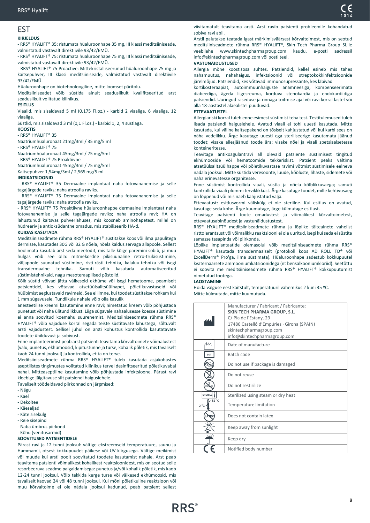## <span id="page-7-0"></span>EST

## **KIRJELDUS**

- RRS® HYALIFT® 35: ristumata hüaluroonhape 35 mg, III klassi meditsiiniseade, valmistatud vastavalt direktiivile 93/42/EMÜ.

- RRS® HYALIFT® 75: ristumata hüaluroonhape 75 mg, III klassi meditsiiniseade, valmistatud vastavalt direktiivile 93/42/EMÜ.

- RRS® HYALIFT® 75 Proactive: Mittekristalliseerunud hüaluroonhape 75 mg ja kaitsepuhver, III klassi meditsiiniseade, valmistatud vastavalt direktiivile 93/42/EMÜ.

Hüaluroonhape on biotehnoloogiline, mitte loomset päritolu.

Meditsiiniseadet võib süstida ainult seaduslikult kvalifitseeritud arst seaduslikult volitatud kliinikus.

#### **ESITLUS**

Viaalid, mis sisaldavad 5 ml (0,175 Fl.oz.) - karbid 2 viaaliga, 6 viaaliga, 12 viaaliga.

Süstlid, mis sisaldavad 3 ml (0,1 Fl.oz.) - karbid 1, 2, 4 süstlaga.

**KOOSTIS** - RRS® HYALIFT® 35

Naatriumhüaluronaat 21mg/3ml / 35 mg/5 ml

- RRS® HYALIFT® 75

Naatriumhüaluronaat 45mg/3ml / 75 mg/5ml

- RRS® HYALIFT® 75 Proaktiivne

Naatriumhüaluronaat 45mg/3ml / 75 mg/5ml

Kaitsepuhver 1,54mg/3ml / 2,565 mg/5 ml

#### **INDIKATSIOONID**

- RRS® HYALIFT® 35 Dermaalne implantaat naha fotovananemise ja selle tagajärgede raviks; naha atroofia raviks.

- RRS® HYALIFT® 75 Dermaalne implantaat naha fotovananemise ja selle tagajärgede raviks; naha atroofia raviks.

- RRS® HYALIFT® 75 Proaktiivne hüaluroonhappe dermaalne implantaat naha fotovananemise ja selle tagajärgede raviks; naha atroofia ravi; HA on lahustunud kaitsvas puhverlahuses, mis koosneb aminohapetest, millel on hüdreeriv ja antioksüdantne omadus, mis stabiliseerib HA-d.

#### **KUIDAS KASUTADA**

Meditsiiniseadmete rühma RRS® HYALIFT® süstitakse koos või ilma papulitega dermisse, kasutades 30G või 32 G nõela, nõela kaldus servaga allapoole. Sellest hoolimata kasutab arst seda meetodit, mis talle kõige paremini sobib, ja muu hulgas võib see olla: mitmekordne pikisuunaline retro-trükisüstimine, väljapoole suunatud süstimine, risti-rästi tehnika, kalaluu-tehnika või isegi transdermaalne tehnika. Samuti võib kasutada automatiseeritud süstimistehnikaid, nagu mesoteraapilised püstolid.

Kõik süstid võivad jätta väikeseid ekhüme või isegi hematoome, peamiselt patsientidel, kes võtavad atsetüülsalitsüülhapet, põletikuvastaseid või hüübimist aeglustavaid ravimeid. See ei ilmne, kui toodet süstitakse rohkem kui 1 mm sügavusele. Tundlikule nahale võib olla kasulik

anesteetilise kreemi kasutamine enne ravi; nimetatud kreem võib põhjustada punetust või naha ülitundlikkust. Liiga sügavale nahaalusesse koesse süstimine ei anna soovitud koemahu suurenemist. Meditsiiniseadmete rühma RRS® HYALIFT® võib vajaduse korral segada teiste süstitavate lahustega, sõltuvalt arsti vajadustest. Sellisel juhul on arsti kohustus kontrollida kasutatavate toodete ühilduvust ja sobivust.

Enne implanteerimist peab arst patsienti teavitama kõrvaltoimete võimalustest (valu, punetus, ekhümoosid, kipitustunne ja turse, kohalik põletik, mis tavaliselt kaob 24 tunni jooksul) ja kontrollida, et ta on terve.

Meditsiiniseadmete rühma RRS® HYALIFT® tuleb kasutada asjakohastes aseptilistes tingimustes volitatud kliinikus tervel desinfitseeritud põletikuvabal nahal. Mitteaseptiline kasutamine võib põhjustada infektsioone. Pärast ravi kleebige jälgitavuse silt patsiendi haiguslehele.

Tavaliselt töödeldavad piirkonnad on järgmised:

- Nägu
- Kael
- Dekoltee
- Käeseljad
- Käte sisekülg
- Reie sisepind - Naba ümbrus piirkond
- Kõhu (venitusarmid)

#### **SOOVITUSED PATSIENTIDELE**

Pärast ravi ja 12 tunni jooksul: vältige ekstreemseid temperatuure, saunu ja Hammam'i, otsest kokkupuudet päikese või UV-kiirgusega. Vältige meikimist või muude kui arsti poolt soovitatud toodete kasutamist nahale. Arst peab teavitama patsienti võimalikest kohalikest reaktsioonidest, mis on seotud selle resorbeeruva seadme paigaldamisega: punetus ja/või kohalik põletik, mis kaob 12-24 tunni jooksul. Võib tekkida kerge turse või väikesed ekhümoosid, mis tavaliselt kaovad 24 või 48 tunni jooksul. Kui mõni põletikuline reaktsioon või muu kõrvaltoime ei ole nädala jooksul kadunud, peab patsient sellest viivitamatult teavitama arsti. Arst ravib patsienti probleemile kohandatud sobiva ravi abil.

Arstil palutakse teatada igast märkimisväärsest kõrvaltoimest, mis on seotud meditsiiniseadmete rühma RRS® HYALIFT®, Skin Tech Pharma Group SL-le veebilehe www.skintechpharmagroup.com kaudu, e-posti aadressil info@skintechpharmagroup.com või posti teel.

#### **VASTUNÄIDUSTUSED**

Allergia mõne koostisosa suhtes. Patsiendid, kellel esineb mis tahes nahamuutus, nahahaigus, infektsioonid või streptokokkinfektsioonide järelmõjud. Patsiendid, kes võtavad immunosupressante, kes läbivad

kortikosteraapiat, autoimmuunhaiguste anamneesiga, kompenseerimata diabeediga, ägeda liigesreuma, korduva stenokardia ja endokardiidiga patsiendid. Uuringud raseduse ja rinnaga toitmise ajal või ravi korral lastel või alla 18-aastastel alaealistel puuduvad.

#### **ETTEVAATUSTEL**

Allergiariski korral tuleb enne esimest süstimist teha test. Testitulemused tuleb lisada patsiendi haiguslehele. Avatud viaali ei tohi uuesti kasutada. Mitte kasutada, kui väline kaitsepakend on tõsiselt kahjustatud või kui karbi sees on näha vedelikku. Ärge kasutage uuesti ega steriliseerige kasutamata jäänud toodet; visake allesjäänud toode ära; visake nõel ja viaali spetsiaalsetesse konteineritesse.

Teavitage antikoagulantravi all olevaid patsiente süstimisest tingitud ekhümooside või hematoomide tekkeriskist. Patsient peaks vältima atsetüülsalitsüülhappe või põletikuvastase ravimi võtmist süstimisele eelneva nädala jooksul. Mitte süstida veresoonte, luude, kõõluste, lihaste, sidemete või naha erinevatesse organitesse.

Enne süstimist kontrollida viaali, süstla ja nõela kõlblikkusaega; samuti kontrollida viaali plommi terviklikkust. Ärge kasutage toodet, mille kehtivusaeg on lõppenud või mis näeb kahjustatud välja.

Ettevaatust: esitlusvormi väliskülg ei ole steriilne. Kui esitlus on avatud, kasutage seda kohe. Ärge kuumutage, ärge külmutage esitlust.

Teavitage patsienti toote omadustest ja võimalikest kõrvaltoimetest, ettevaatusabinõudest ja vastunäidustustest.

RRS® HYALIFT® meditsiiniseadmete rühma ja lõplike täiteainete vahelist risttolerantsust või võimalikku reaktsiooni ei ole uuritud, isegi kui seda ei süstita samasse tasapinda või piirkonda.

Lõplike implantaatide olemasolul võib meditsiiniseadmete rühma RRS® HYALIFT® kasutada transdermaalselt (protokoll koos AD ROLL TD® või ExcellDerm® Pro'ga, ilma süstimata). Hüaluroonhape sadestub kokkupuutel kvaternaarsete ammooniumkatsioonidega (nt bensalkooniumkloriid). Seetõttu ei soovita me meditsiiniseadmete rühma RRS® HYALIFT® kokkupuutumist nimetatud tootega.

#### **LAOSTAMINE**

Hoida valguse eest kaitstult, temperatuuril vahemikus 2 kuni 35 ºC. Mitte külmutada, mitte kuumutada.

|                                 | Manufacturer / Fabricant / Fabricante:<br>SKIN TECH PHARMA GROUP, S.L.<br>C/Pla de l'Estany, 29<br>17486 Castelló d'Empúries · Girona (SPAIN)<br>skintechpharmagroup.com |
|---------------------------------|--------------------------------------------------------------------------------------------------------------------------------------------------------------------------|
|                                 | info@skintechpharmagroup.com                                                                                                                                             |
| AЛ                              | Date of manufacture                                                                                                                                                      |
| LOT                             | Batch code                                                                                                                                                               |
|                                 | Do not use if package is damaged                                                                                                                                         |
|                                 | Do not reuse                                                                                                                                                             |
|                                 | Do not restirilize                                                                                                                                                       |
| STERILE                         | Sterilized using steam or dry heat                                                                                                                                       |
| $35^{\circ}$ C<br>$2^{\circ}$ C | Temperature limitation                                                                                                                                                   |
|                                 | Does not contain latex                                                                                                                                                   |
|                                 | Keep away from sunlight                                                                                                                                                  |
|                                 | Keep dry                                                                                                                                                                 |
|                                 | Notified body number                                                                                                                                                     |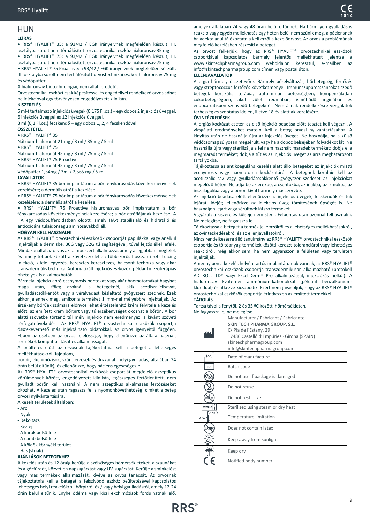#### <span id="page-8-0"></span>HUN **LEÍRÁS**

• RRS® HYALIFT® 35: a 93/42 / EGK irányelvnek megfelelően készült, III. osztályba sorolt nem térhálósított orvostechnikai eszköz hialuronsav 35 mg

• RRS® HYALIFT® 75: a 93/42 / EGK irányelvnek megfelelően készült, III. osztályba sorolt nem térhálósított orvostechnikai eszköz hialuronsav 75 mg

• RRS® HYALIFT® 75 Proactive: a 93/42 / EGK irányelvnek megfelelően készült, III. osztályba sorolt nem térhálósított orvostechnikai eszköz hialuronsav 75 mg és védőpuffer.

A hialuronsav biotechnológiai, nem állati eredetű.

Orvostechnikai eszközt csak képesítéssel és engedéllyel rendelkező orvos adhat be injekcióval egy törvényesen engedélyezett klinikán.

#### **KISZERELÉS**

5 ml-t tartalmazó injekciós üvegek (0,175 Fl.oz.) – egy doboz 2 injekciós üveggel, 6 injekciós üveggel és 12 injekciós üveggel.

3 ml (0,1 Fl.oz.) fecskendő – egy doboz 1, 2, 4 fecskendővel.

#### **ÖSSZETÉTEL**

• RRS® HYALIFT® 35

Nátrium-hialuronát 21 mg / 3 ml / 35 mg / 5 ml • RRS® HYALIFT® 75

Nátrium-hialuronát 45 mg / 3 ml / 75 mg / 5 ml

• RRS® HYALIFT® 75 Proactive

Nátrium-hialuronát 45 mg / 3 ml / 75 mg / 5 ml Védőpuffer 1,54mg / 3ml / 2,565 mg / 5 ml

#### **JAVALLATOK**

• RRS® HYALIFT® 35 bőr implantátum a bőr fénykárosodás következményeinek kezelésére; a dermális atrófia kezelése.

• RRS® HYALIFT® 75 bőr implantátum a bőr fénykárosodás következményeinek kezelésére; a dermális atrófia kezelése.

• RRS® HYALIFT® 75 Proactive hialuronsavas bőr implantátum a bőr fénykárosodás következményeinek kezelésére; a bőr atrófiájának kezelése; A HA egy védőpufferoldatban oldott, amely HA-t stabiliziáló és hidratáló és antioxidáns tulajdonságú aminosavakból áll.

#### **HOGYAN KELL HASZNÁLNI**

Az RRS® HYALIFT® orvostechnikai eszközök csoportját papulákkal vagy anélkül injektálják a dermisbe, 30G vagy 32G tű segítségével, tűvel lejtős éllel lefelé. Mindazonáltal az orvos azt a módszert alkalmazza, amely a legjobban megfelel, és amely többek között a következő lehet: többszörös hosszanti retr tracing injekció, kifelé legyezés, keresztes keresztezés, halcsont technika vagy akár transzdermális technika. Automatizált injekciós eszközök, például mezoterápiás pisztolyok is alkalmazhatók.

Bármely injekció apró ecchymosis pontokat vagy akár haematomákat hagyhat maga után, főleg azoknál a betegeknél, akik acetilszalicilsavat, gyulladáscsökkentőt vagy a véralvadást késleltető gyógyszert szednek. Ezek akkor jelennek meg, amikor a terméket 1 mm-nél mélyebbre injektálják. Az érzékeny bőrűek számára előnyös lehet érzéstelenítő krém felvitele a kezelés előtt; az említett krém bőrpírt vagy túlérzékenységet okozhat a bőrön. A bőr alatti szövetbe történő túl mély injekció nem eredményezi a kívánt szöveti térfogatnövekedést. Az RRS® HYALIFT® orvostechnikai eszközök csoportja összekeverhető más injektálható oldatokkal, az orvos igényeitől függően. Ebben az esetben az orvos felelőssége, hogy ellenőrizze az általa használt termékek kompatibilitását és alkalmasságát.

A beültetés előtt az orvosnak tájékoztatnia kell a beteget a lehetséges mellékhatásokról (fájdalom,

bőrpír, ekchimózisok, szúró érzések és duzzanat, helyi gyulladás, általában 24 órán belül eltűnik), és ellenőrizze, hogy páciens egészséges-e.

Az RRS® HYALIFT® orvostechnikai eszközök csoportját megfelelő aszeptikus körülmények között, engedélyezett klinikán, egészséges fertőtlenített, nem gyulladt bőrön kell használni. A nem aszeptikus alkalmazás fertőzéseket okozhat. A kezelés után ragassza fel a nyomonkövethetőségi címkét a beteg orvosi nyilvántartására.

A kezelt területek általában:

- $-$  Arc
- Nyak
- Dekoltázs
- Kézfej
- A karok belső fele
- A comb belső fele
- A köldök környéki terület
- Has (striák)

#### **AJÁNLÁSOK BETEGEKHEZ**

A kezelés után és 12 óráig kerülje a szélsőséges hőmérsékleteket, a szaunákat és a gőzfürdőt, közvetlen napsugárzást vagy UV-sugárzást. Kerülje a sminkelést vagy más termékek alkalmazását, kivéve az orvos tanácsát. Az orvosnak tájékoztatnia kell a beteget a felszívódó eszköz beültetésével kapcsolatos lehetséges helyi reakciókról: bőrpírről és / vagy helyi gyulladásról, amely 12-24 órán belül eltűnik. Enyhe ödéma vagy kicsi ekchimózisok fordulhatnak elő,

amelyek általában 24 vagy 48 órán belül eltűnnek. Ha bármilyen gyulladásos reakció vagy egyéb mellékhatás egy héten belül nem szűnik meg, a páciensnek haladéktalanul tájékoztatnia kell erről a kezelőorvost. Az orvos a problémának megfelelő kezelésben részesíti a beteget.

Az orvost felkérjük, hogy az RRS® HYALIFT® orvostechnikai eszközök csoportjával kapcsolatos bármely jelentős mellékhatást jelentse a www.skintechpharmagroup.com weboldalon keresztül, e-mailben az info@skintechpharmagroup.com címen vagy postai úton.

#### **ELLENJAVALLATOK**

Allergia bármely összetevőre. Bármely bőrelváltozás, bőrbetegség, fertőzés vagy streptococcus fertőzés következményei. Immunszuppresszánsokat szedő betegek kortikális terápia, autoimmun betegségben, kompenzálatlan cukorbetegségben, akut ízületi reumában, ismétlődő anginában és endocarditisben szenvedő betegeknél. Nem állnak rendelkezésre vizsgálatok terhesség és szoptatás idején, illetve 18 év alattiak kezelésére.

#### **ÓVINTÉZKEDÉSEK**

Allergiás kockázat esetén az első injekció beadása előtt tesztet kell végezni. A vizsgálati eredményeket csatolni kell a beteg orvosi nyilvántartásához. A kinyitás után ne használja újra az injekciós üveget. Ne használja, ha a külső védőcsomag súlyosan megsérült, vagy ha a doboz belsejében folyadékot lát. Ne használja újra vagy sterilizálja a fel nem használt maradék terméket; dobja el a megmaradt terméket; dobja a tűt és az injekciós üveget az arra meghatározott tartályokba.

Tájékoztassa az antikoaguláns kezelés alatt álló betegeket az injekciók miatti ecchymosis vagy haematoma kockázatáról. A betegnek kerülnie kell az acetilszalicilsav vagy gyulladáscsökkentő gyógyszer szedését az injekciókat megelőző héten. Ne adja be az erekbe, a csontokba, az inakba, az izmokba, az ínszalagokba vagy a bőrön kívül bármely más szervbe.

Az injekció beadása előtt ellenőrizze az injekciós üvegek, fecskendők és tűk lejárati idejét; ellenőrizze az injekciós üveg tömítésének épségét is. Ne használjon lejárt vagy sérültnek látszó terméket.

Vigyázat: a kiszerelés külseje nem steril. Felbontás után azonnal felhasználni. Ne melegítse, ne fagyassza le.

Tájékoztassa a beteget a termék jellemzőiről és a lehetséges mellékhatásokról, az óvintézkedésekről és az ellenjavallatokról.

Nincs rendelkezésre álló tanulmány az RRS® HYALIFT® orvostechnikai eszközök csoportja és töltőanyag-termékek közötti kereszt-toleranciáról vagy lehetséges reakcióról, még akkor sem, ha nem ugyanazon a felületen vagy területen injektálják.

Amennyiben a kezelés helyén tartós implantátumok vannak, az RRS® HYALIFT® orvostechnikai eszközök csoportja transzdermikusan alkalmazható (protokoll AD ROLL TD® vagy ExcellDerm® Pro alkalmazással, injekciózás nélkül). A hialuronsav kvaterner ammónium-kationokkal (például benzalkóniumkloriddal) érintkezve kicsapódik. Ezért nem javasoljuk, hogy az RRS® HYALIFT® orvostechnikai eszközök csoportja érintkezzen az említett termékkel. **TÁROLÁS**

## Tartsa távol a fénytől, 2 és 35 ºC közötti hőmérsékleten.

#### Ne fagyassza le, ne melegítse.

|                                 | Manufacturer / Fabricant / Fabricante:     |
|---------------------------------|--------------------------------------------|
|                                 | SKIN TECH PHARMA GROUP, S.L.               |
|                                 | C/ Pla de l'Estany, 29                     |
|                                 | 17486 Castelló d'Empúries · Girona (SPAIN) |
|                                 | skintechpharmagroup.com                    |
|                                 | info@skintechpharmagroup.com               |
| 11                              | Date of manufacture                        |
| LOT                             | Batch code                                 |
|                                 | Do not use if package is damaged           |
|                                 | Do not reuse                               |
|                                 | Do not restirilize                         |
| STERILE                         | Sterilized using steam or dry heat         |
| $35^{\circ}$ C<br>$2^{\circ}$ C | Temperature limitation                     |
|                                 | Does not contain latex                     |
|                                 | Keep away from sunlight                    |
|                                 | Keep dry                                   |
|                                 | Notified body number                       |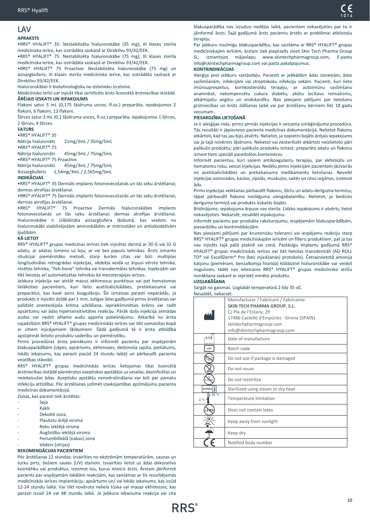## <span id="page-9-0"></span>LAV

## **APRAKSTS**

•RRS® HYALIFT® 35: Nestabilizēta hialuronskābe (35 mg); III klases sterila medicīniska ierīce, kas izstrādāta saskaņā ar Direktīvu 93/42/EEK.

•RRS® HYALIFT® 75: Nestabilizēta hialuronskābe (75 mg); III klases sterila medicīniska ierīce, kas izstrādāta saskaņā ar Direktīvu 93/42/EEK.

•RRS® HYALIFT® 75 Proactive: Nestabilizēta hialuronskābe (75 mg) un aizsargbuferis; III klases sterila medicīniska ierīce, kas izstrādāta saskaņā ar Direktīvu 93/42/EEK.

Hialuronskābei ir biotehnoloģiska ne-dzīvnieku izcelsme.

Medicīnisko ierīci var injicēt tikai sertificēts ārsts licencētā ārstniecības iestādē. **ĀRĒJAIS IZSKATS UN IEPAKOJUMS**

Flakoni satur 5 mL (0,175 šķidruma unces, fl.oz.) preparāta; iepakojumos 2 flakoni, 6 flakoni, 12 flakoni.

Šļirces satur 3 mL (0,1 šķidruma unces, fl.oz.) preparāta; iepakojumos 1 šļirces, 2 šļirces, 4 šļirces.

#### **SATURS**

•RRS® HYALIFT® 35

Nātrija hialuronāts 21mg/3mL / 35mg/5mL

•RRS® HYALIFT® 75 Nātrija hialuronāts 45mg/3mL / 75mg/5mL

•RRS® HYALIFT® 75 Proactive

Nātrija hialuronāts 45mg/3mL / 75mg/5mL

Aizsargbuferis 1,54mg/3mL / 2,565mg/5mL

#### **INDIKĀCIJAS**

•RRS® HYALIFT® 35 Dermāls implants fotonovecošanās un tās seku ārstēšanai; dermas atrofijas ārstēšanai.

•RRS® HYALIFT® 75 Dermāls implants fotonovecošanās un tās seku ārstēšanai; dermas atrofijas ārstēšanai.

•RRS® HYALIFT® 75 Proactive Dermāls hialuronskābes implants fotonovecošanās un tās seku ārstēšanai; dermas atrofijas ārstēšanai. Hialuronskābe ir izšķīdināta aizsargbufera šķīdumā, kas veidots no hialuronskābi stabilizējošām aminoskābēm ar mitrinošām un antioksidatīvām īpašībām.

#### **KĀ LIETOT**

RRS® HYALIFT® grupas medicīnas ierīces tiek injicētas dermā ar 30 G vai 32 G adatu, ar adatas lūmenu uz leju; ar vai bez papulu tehnikas. Ārsts izmanto situācijai piemērotāko metodi, starp kurām citas var būt: multiplas longitudinālas retrogrādas injekcijas, vēdekļa veidā uz ārpusi vērsta tehnika, restītes tehnika, "fish-bone" tehnika vai transdermālas tehnikas. Injekcijām var tikt lietotas arī automatizētas tehnikas kā mezoterapijas ierīces.

Jebkura injekcija var atstāt mazus ekhimozus punktiņus vai pat hematomas lielākoties pacientiem, kuri lieto acetilsalicilskābes, pretiekaisuma vai preparātus, kas kavē asins koagulāciju. Šīs izmaiņas parasti neparādās, ja produkts ir injicēts dziļāk par 1 mm. Jutīgas ādas gadījumā pirms ārstēšanas var palīdzēt anestezējoša krēma uzklāšana; iepriekšminētais krēms var radīt apsārtumu vai ādas hipersensitivitātes reakciju. Pārāk dziļa injekcija zemādas audos var nedot vēlamo audu apjoma palielinājumu. Atkarībā no ārsta vajadzībām RRS® HYALIFT® grupas medicīniskās ierīces var tikt samaisītas kopā ar citiem injicējamiem šķīdumiem. Šādā gadījumā tā ir ārsta atbildība apstiprināt lietoto produktu saderību un piemērotību.

Pirms procedūras ārsta pienākums ir informēt pacientu par iespējamām blakusparādībām (sāpes, apsārtums, ekhimozes, dedzinoša sajūta, pietūkums, lokāls iekaisums, kas parasti pazūd 24 stundu laikā) un pārbaudīt pacienta veselības stāvokli.

RRS® HYALIFT® grupas medicīniskās ierīces lietojamas tikai licencētā ārstniecības iestādē piemērotos aseptiskos apstākļos uz veselas, dezinficētas un neiekaisušas ādas. Aseptisku apstākļu nenodrošināšana var būt par pamatu infekciju attīstībai. Pēc ārstēšanas uzlīmēt izsekojamības apzīmējumu pacienta medicīnas dokumentācijā.

Zonas, kas parasti tiek ārstētas:

- Seja
- **Kakls**
- Dekoltē zona
- Plaukstu ārējā virsma
- Roku iekšējā virsma
- Augšstilbu iekšējā virsma
- Periumbilikālā (nabas) zona

#### Vēders (strijas) **REKOMENDĀCIJAS PACIENTIEM**

Pēc ārstēšanas 12 stundas: izvairīties no ekstrēmām temperatūrām, saunas un turku pirts, tiešiem saules (UV) stariem. Izvairīties lietot uz ādas dekoratīvo kosmētiku vai produktus, izņemot tos, kurus ieteicis ārsts. Ārstam jāinformē pacients par iespējamām lokālām reakcijām, kas saistāmas ar šīs resorbējamās medicīniskās ierīces implantāciju: apsārtums un/ vai lokāls iekaisums, kas izzūd 12-24 stundu laikā. Var tikt novērota neliela tūska vai mazas ekhimozes, kas parasti izzūd 24 vai 48 stundu laikā. Ja jebkura iekaisuma reakcija vai cita

blakusparādība nav izzudusi nedēļas laikā, pacientam nekavējoties par to ir jāinformē ārsts. Šajā gadījumā ārsts pacientu ārstēs ar problēmai atbilstošu terapiju.

Par jebkuru nozīmīgu blakusparādību, kas saistāma ar RRS® HYALIFT® grupas medicīniskajām ierīcēm, ārstam tiek pieprasīts ziņot Skin Tech Pharma Group SL, izmantojot mājaslapu www.skintechpharmagroup.com, E-pastu info@skintechpharmagroup.com vai pasta pakalpojumus.

#### **KONTRINDIKĀCIJAS**

Alerģija pret jebkuru sastāvdaļu. Pacienti ar jebkādām ādas izmaiņām, ādas saslimšanām, infekcijām vai streptokoku infekciju sekām. Pacienti, kuri lieto imūnsupresantus, kortikosteroīdu terapiju, ar autoimūnu saslimšanu anamnēzē, nekompensētu cukura diabētu, akūtu locītavu reimatismu, atkārtojošu angīnu un endokardītu. Nav pieejami pētījumi par lietošanu grūtniecības un krūts zīdīšanas laikā vai par ārstēšanu bērniem līdz 18 gadu vecumam.

#### **PIESARDZĪBA LIETOŠANĀ**

Ja ir alerģijas risks, pirms pirmās injekcijas ir veicama izmēģinājuma procedūra. Tās rezultāti ir jāpievieno pacienta medicīnas dokumentācijā. Nelietot flakonu atkārtoti, kad tas jau bijis atvērts. Nelietot, ja nopietni bojāts ārējais iepakojums vai ja tajā novērots šķidrums. Nelietot vai nesterilizēt atkārtoti neizlietoto pāri palikušo produktu; pāri palikušo produktu izmest; preparāta adatu un flakonu izmest tiem speciāli paredzētos konteineros.

Informēt pacientus, kuri saņem antikoagulantu terapiju, par ekhimožu un hematomu risku, veicot injekcijas. Nedēļu pirms injekcijām pacientam jāizvairās no acetilsalicilskābes un pretiekaisuma medikamentu lietošanas. Neveikt injekcijas asinsvados, kaulos, cīpslās, muskuļos, saitēs un citos orgānos, izņemot ādu.

Pirms injekcijas veikšanas pārbaudīt flakonu, šļirču un adatu derīguma termiņu; tāpat pārbaudīt flakona noslēguma viengabalainību. Nelietot, ja beidzies derīguma termiņš vai produkts izskatās bojāts.

Brīdinājums: iepakojuma ārpuse nav sterila. Līdzko iepakojums ir atvērts, lietot nekavējoties. Nekarsēt, nesaldēt iepakojumu.

Informēt pacientu par produkta raksturojumu, iespējamām blakusparādībām, piesardzību un kontrindikācijām.

Nav pieejami pētījumi par krustenisku toleranci vai iespējamu reakciju starp RRS® HYALIFT® grupas medicīniskajām ierīcēm un filleru produktiem, pat ja tas nav injicēts tajā pašā plaknē vai zonā. Pastāvīgu implantu gadījumā RRS® HYALIFT® grupas medicīniskās ierīces var tikt lietotas transdermāli (AD ROLL TD® vai ExcellDerm® Pro (bez injicēšanas) protokols). Četraizvietotā amonija katjonu (piemēram, benzalkonija hlorīda) klātbūtnē hialuronskābe var veidot nogulsnes, tādēļ nav ieteicama RRS® HYALIFT® grupas medicīnisko ierīču nonākšana saskarē ar iepriekš minēto produktu.

#### **UZGLABĀŠANA**

#### Sargāt no gaismas. Uzglabāt temperatūrā 2 līdz 35 oC. Nesaldēt, nekarsēt.

|                                 | Manufacturer / Fabricant / Fabricante:<br>SKIN TECH PHARMA GROUP, S.L.<br>C/ Pla de l'Estany, 29<br>17486 Castelló d'Empúries · Girona (SPAIN)<br>skintechpharmagroup.com<br>info@skintechpharmagroup.com |
|---------------------------------|-----------------------------------------------------------------------------------------------------------------------------------------------------------------------------------------------------------|
|                                 | Date of manufacture                                                                                                                                                                                       |
| LOT                             | Batch code                                                                                                                                                                                                |
|                                 | Do not use if package is damaged                                                                                                                                                                          |
|                                 | Do not reuse                                                                                                                                                                                              |
|                                 | Do not restirilize                                                                                                                                                                                        |
| <b>STERILE</b>                  | Sterilized using steam or dry heat                                                                                                                                                                        |
| $35^{\circ}$ C<br>$2^{\circ}$ C | Temperature limitation                                                                                                                                                                                    |
|                                 | Does not contain latex                                                                                                                                                                                    |
|                                 | Keep away from sunlight                                                                                                                                                                                   |
|                                 | Keep dry                                                                                                                                                                                                  |
|                                 | Notified body number                                                                                                                                                                                      |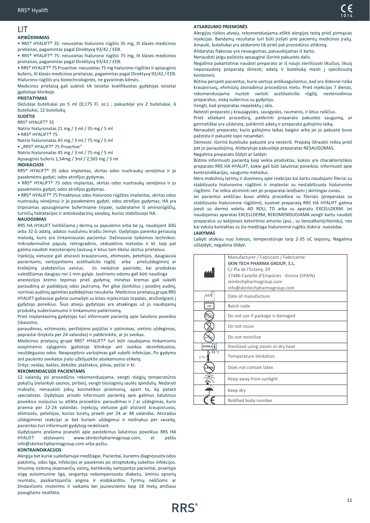## <span id="page-10-0"></span>LIT

## **APIBŪDINIMAS**

• RRS® HYALIFT® 35: nesusietas hialurono rūgštis 35 mg, III klasės medicinos prietaisas, pagamintas pagal Direktyvą 93/42 / EEB.

• RRS® HYALIFT® 75: nesusietas hialurono rūgštis 75 mg, III klasės medicinos prietaisas, pagamintas pagal Direktyvą 93/42 / EEB.

• RRS® HYALIFT® 75 Proactive: nesusietas 75 mg hialurono rūgšties ir apsauginis buferis, III klasės medicinos prietaisas, pagamintas pagal Direktyvą 93/42 / EEB. Hialurono rūgštis yra biotechnologinės, ne gyvūninės kilmės.

Medicinos prietaisą gali suleisti tik teisėtai kvalifikuotas gydytojas teisėtai įgaliotoje klinikoje.

## **PRISTATYMAS**

Dėžutėje buteliukai po 5 ml (0,175 Fl. oz.) ; pakuotėje yra 2 buteliukai, 6 buteliukai, 12 buteliukų.

#### **SUDĖTIS**

RRS® HYALIFT® 35

Natrio hialuronatas 21 mg / 3 ml / 35 mg / 5 ml

## • RRS® HYALIFT® 75

Natrio hialuronatas 45 mg / 3 ml / 75 mg / 5 ml • "RRS® HYALIFT® 75 Proactive"

Natrio hialuronatas 45 mg / 3 ml / 75 mg / 5 ml

Apsauginis buferis 1,54mg / 3ml / 2,565 mg / 5 ml

#### **INDIKACIJOS**

RRS® HYALIFT® 35 odos implantas, skirtas odos nuotraukų senėjimui ir jo pasekmėms gydyti; odos atrofijos gydymas.

• RRS® HYALIFT® 75 odos implantas, skirtas odos nuotraukų senėjimui ir jo pasekmėms gydyti; odos atrofijos gydymas.

• RRS® HYALIFT® 75 Proaktyvus odos hialurono rūgšties implantas, skirtas odos nuotraukų senėjimui ir jo pasekmėms gydyti; odos atrofijos gydymas; HA yra tirpinamas apsauginiame buferiniame tirpale, sudarytame iš aminorūgščių, turinčių hidratacijos ir antioksidacinių savybių, kurios stabilizuoja HA.

#### **NAUDOJIMAS**

RRS HA HYALIFT švirkščiama į dermą su papulėmis arba be jų, naudojant 30G arba 32 G adatą, adatos nuožulniu kraštu žemyn. Gydytojas parenka geriausią metodą, kuris yra tinkamiausias pacientui. Dažniausiai taikomos technikos: mikrodermalinė papula, retrogradinis, vėduoklinis metodas ir kt. taip pat galima naudoti mezoterapinį šautuvą ir kitus tam tikslui skirtus prietaisus.

Injekcijų vietuose gali atsirasti kraujosruvos, ehimozės, petehijos, daugiausia pacientams, vartojantiems acetilsalicilo rūgštį arba priešuždegiminį ar krešėjimą stabdančius vaistus. Jis nedažnai pasirodo, kai produktas suleidžiamas daugiau nei 1 mm gylyje. Jautrioms odoms gali būti naudinga

anestezijos kremo tepimas prieš gydymą; minėtas kremas gali sukelti paraudimą ar padidėjusį odos jautrumą. Per giliai įšvirkštus į poodinį audinį, norimas audinių apimties padidėjimas nesukelia. Medicinos prietaisų grupę RRS HYALIFT galiausiai galima sumaišyti su kitais injekciniais tirpalais, atsižvelgiant į gydytojo poreikius. Šiuo atveju gydytojas yra atsakingas už jo naudojamų produktų suderinamumo ir tinkamumo patikrinimą.

Prieš implantavimą gydytojas turi informuoti pacientą apie šalutinio poveikio (skausmo,

paraudimas, echimozės, perštėjimo pojūčiai ir patinimas, vietinis uždegimas, paprastai išnyksta per 24 valandas) ir patikrinkite, ar jis sveikas.

Medicinos prietaisų grupė RRS® HYALIFT® turi būti naudojama tinkamomis aseptinėmis sąlygomis įgaliotoje klinikoje ant sveikos dezinfekuotos, neuždegusios odos. Neapseptinis vartojimas gali sukelti infekcijas. Po gydymo ant paciento sveikatos įrašo užklijuokite atsekamumo etiketę.

Sritys: veidas, kaklas, dekoltė, plaštakos, pilvas, pečiai ir kt.

#### **REKOMENDACIJOS PACIENTAMS**

12 valandų po procedūros rekomenduojama: vengti staigių temperatūros pokyčių (nelankyti saunos, pirties), vengti tiesioginių saulės spindulių. Nedaryti makiažo, nenaudoti jokių kosmetikos priemonių, apart to, ką patarė specialistas. Gydytojas privalo informuoti pacientą apie galimus šalutinius poveikius susijusius su atlikta procedūra: paraudimas ir / ar uždegimas, kuris praeina per 12-24 valandas. Injekcijų vietuose gali atsirasti kraujosruvos, ehimozės, petehijos, kurios turėtų praeiti per 24 ar 48 valandas. Atsiradus uždegiminei reakcijai ar bet kuriam uždegimui ir neišnykus per savaitę, pacientas turi informuoti gydytoją nedelsiant.

Gydytojams prašoma pranešti apie pastebimus šalutinius poveikius RRS HA HYALIFT atstovams www.skintechpharmagroup.com, el. paštu info@skintechpharmagroup.com arba paštu.

#### **KONTRAINDIKACIJOS**

Alergija bet kuriai sudedamajai medžiagai. Pacientai, kuriems diagnozuota odos pakitimų, odos liga, infekcijos ar pasekmės po streptokokų sukeltos infekcijos. Imuninę sistemą slopinančių vaistų, kortikoidų vartojantys pacientai, praeityje sirgę autoimunine liga, sergantys nekompensuotu diabetu, ūminiu sąnarių reumatu, pasikartojančia angina ir endokarditu. Tyrimų nėščioms ar žindančioms moterims ir vaikams bei jaunesniems kaip 18 metų amžiaus paaugliams neatlikta.

#### **ATSARGUMO PRIEMONĖS**

Alergijos rizikos atveju, rekomenduojama atlikti alergijos testą prieš pirmąsias injekcijas. Bandymų rezultatai turi būti įrašyti prie pacientų medicinos įrašų. Ampulė, buteliukai yra atidaromi tik prieš pat procedūros atlikimą. Atidarytas flakonas yra nesaugomas, panaudojamas iš karto.

Nenaudoti jeigu pažeista apsauginė išorinė pakuotės dalis.

Negalima pakartotinai naudoti preparato ar iš naujo sterilizuoti likučius; likusį nepanaudotą preparatą išmesti; adatą ir buteliuką mesti į specilizuotą konteinerį.

Būtina perspėti pacientus, kurie vartoja antikoaguliantus, kad yra didesnė rizika kraujosruvų, ehimozių atsiradimui procedūros metu. Prieš injekcijas 7 dienas, rekomenduojama nustoti vartoti acetilsalicilio rūgštį, nesteroidinius preparatus, viską suderinus su gydytoju.

Vengti, kad preparatas nepatektų į akis.

Neleisti preparato į kraujagysles, sausgysles, raumenis, ir kitus raiščius.

Prieš atliekant procedūrą, patikrinti preparato pakuotės saugumą, ar germetiškai yra uždaryta; patikrinti adatų ir preparato galiojimo laiką.

Nenaudoti preparato, kurio galiojimo laikas baigėsi arba jei jo pakuotė buvo pažeista ir pakuotė tapo nesandari.

Dėmesio: išorinė buteliuko pakuotė yra nesterili. Prepatą ištraukti reikia prieš pat jo panaudojimą. Atidarytoje pakuotėje preparatas NESAUGOMAS. Negalima preparato šildyti ar šaldyti.

Būtina informuoti pacientą kaip veikia produktas, kokios yra charakteristikos preparato RRS HA HYALIFT, kokie gali būti šalutiniai poveikiai, informuoti apie kontraindikacijas, saugumo metodus.

Nėra mokslinių tyrimų ir duomenų apie reakcijas kai kartu naudojami fileriai su stabilizuota hialuronine rūgštimi ir implantai su nestabilizuota hialuronine rūgštimi. Tai reikia atsiminti net jei preparatai leidžiami į skirtingas zonas.

Jei pacientui ankščiau buvo atlikta procedūra su fileriais (preparatas su stabilizuota hialuronine rūgštimi), tuomet preparatą RRS HA HYALIFT galima įvesti su dermo voleliu AD ROLL TD arba su aparatu EXCELLDERM. Jei naudojamas aparatas EXCELLDERM, REKOMENDUOJAMA vengti kartu naudoti preparatus su katijonais ketvirtinio amonio (pvz., su benzalkonijchloridu), nes kai vyksta kontaktas su šia medžiaga hialuroninė rugštis išskiria nuosėdas. **LAIKYMAS**

Laikyti atokiau nuo šviesos, temperatūroje tarp 2-35 oC laipsnių. Negalima užšaldyti, negalima šildyti.

|                       | Manufacturer / Fabricant / Fabricante:<br>SKIN TECH PHARMA GROUP, S.L.<br>C/ Pla de l'Estany, 29<br>17486 Castelló d'Empúries · Girona (SPAIN)<br>skintechpharmagroup.com<br>info@skintechpharmagroup.com |
|-----------------------|-----------------------------------------------------------------------------------------------------------------------------------------------------------------------------------------------------------|
| 44                    | Date of manufacture                                                                                                                                                                                       |
| LOT                   | Batch code                                                                                                                                                                                                |
|                       | Do not use if package is damaged                                                                                                                                                                          |
|                       | Do not reuse                                                                                                                                                                                              |
|                       | Do not restirilize                                                                                                                                                                                        |
| STERILE               | Sterilized using steam or dry heat                                                                                                                                                                        |
| 35 °C<br>$2^{\circ}C$ | Temperature limitation                                                                                                                                                                                    |
|                       | Does not contain latex                                                                                                                                                                                    |
|                       | Keep away from sunlight                                                                                                                                                                                   |
|                       | Keep dry                                                                                                                                                                                                  |
|                       | Notified body number                                                                                                                                                                                      |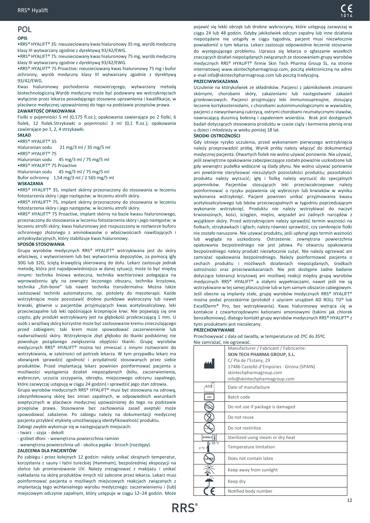#### <span id="page-11-0"></span>POL **OPIS**

•RRS® HYALIFT® 35: nieusieciowany kwas hialuronowy 35 mg, wyrób medyczny klasy III wytwarzany zgodnie z dyrektywą 93/42/EWG.

•RRS® HYALIFT® 75: nieusieciowany kwas hialuronowy 75 mg, wyrób medyczny klasy III wytwarzany zgodnie z dyrektywą 93/42/EWG.

•RRS® HYALIFT® 75 Proactive: nieusieciowany kwas hialuronowy 75 mg i bufor ochronny, wyrób medyczny klasy III wytwarzany zgodnie z dyrektywą 93/42/EWG.

Kwas hialuronowy pochodzenia niezwierzęcego, wytwarzany metodą biotechnologiczną.Wyrób medyczny może być podawany we wstrzyknięciach wyłącznie przez lekarza posiadającego stosowne uprawnienia i kwalifikacje, w placówce medycznej upoważnionej do tego na podstawie przepisów prawa. **ZAWARTOŚĆ OPAKOWANIA**

Fiolki o pojemności 5 ml (0,175 fl.oz.); opakowania zawierające po 2 fiolki, 6 fiolek, 12 fiolek.Strzykawki o pojemności 3 ml (0,1 fl.oz.); opakowania zawierające po 1, 2, 4 strzykawki.

#### **SKŁAD**

•RRS® HYALIFT® 35

Hialuronian sodu 21 mg/3 ml / 35 mg/5 ml •RRS® HYALIFT® 75 Hialuronian sodu 45 mg/3 ml / 75 mg/5 ml

•RRS® HYALIFT® 75 Proactive

Hialuronian sodu 45 mg/3 ml / 75 mg/5 ml

Bufor ochronny 1,54 mg/3 ml / 2 565 mg/5 ml

#### **WSKAZANIA**

•RRS® HYALIFT® 35, implant skórny przeznaczony do stosowania w leczeniu fotostarzenia skóry i jego następstw; w leczeniu atrofii skóry.

•RRS® HYALIFT® 75, implant skórny przeznaczony do stosowania w leczeniu fotostarzenia skóry i jego następstw; w leczeniu atrofii skóry.

•RRS® HYALIFT® 75 Proactive, implant skórny na bazie kwasu hialuronowego, przeznaczony do stosowania w leczeniu fotostarzenia skóry i jego następstw; w leczeniu atrofii skóry; kwas hialuronowy jest rozpuszczony w roztworze buforu ochronnego złożonego z aminokwasów o właściwościach nawilżających i antyoksydacyjnych, który stabilizuje kwas hialuronowy.

#### **SPOSÓB STOSOWANIA**

Grupa wyrobów medycznych RRS® HYALIFT® wstrzykiwana jest do skóry właściwej, z wytworzeniem lub bez wytworzenia depozytów, za pomocą igły 30G lub 32G, ściętą krawędzią skierowaną do dołu. Lekarz zastosuje jednak metodę, która jest najodpowiedniejsza w danej sytuacji; może to być między innymi: technika liniowa wsteczna, technika wachlarzowa polegająca na wprowadzeniu igły na zewnątrz leczonego obszaru, technika krzyżowa, technika "fish-bone" lub nawet technika transdermalna. Można także zastosować techniki automatyczne, np. pistolety do mezoterapii. Każde wstrzyknięcie może pozostawić drobne punktowe wybroczyny lub nawet krwiaki, głównie u pacjentów przyjmujących kwas acetylosalicylowy, leki przeciwzapalne lub leki opóźniające krzepnięcie krwi. Nie pojawiają się one często, gdy produkt wstrzykiwany jest na głębokość przekraczającą 1 mm. U osób z wrażliwą skórą korzystne może być zastosowanie kremu znieczulającego przed zabiegiem; taki krem może spowodować zaczerwienienie lub nadwrażliwość skóry. Wstrzyknięcie zbyt głęboko do tkanki podskórnej nie powoduje pożądanego zwiększenia objętości tkanki. Grupę wyrobów medycznych RRS® HYALIFT® można też zmieszać z innymi roztworami do wstrzykiwania, w zależności od potrzeb lekarza. W tym przypadku lekarz ma obowiązek sprawdzić zgodność i przydatność stosowanych przez siebie produktów. Przed implantacją lekarz powinien poinformować pacjenta o możliwości wystąpienia działań niepożądanych (bólu, zaczerwienienia, wybroczyn, uczucia szczypania, obrzęku, miejscowego odczynu zapalnego, które zazwyczaj ustępują w ciągu 24 godzin) i sprawdzić jego stan zdrowia.

Grupa wyrobów medycznych RRS® HYALIFT® musi być stosowana na zdrową, zdezynfekowaną skórę bez zmian zapalnych, w odpowiednich warunkach aseptycznych w placówce medycznej upoważnionej do tego na podstawie przepisów prawa. Stosowanie bez zachowania zasad aseptyki może spowodować zakażenie. Po zabiegu należy na dokumentacji medycznej pacjenta przykleić etykietę umożliwiającą identyfikowalność produktu.

Zabiegi zwykle wykonuje się w następujących miejscach:

- twarz - szyja - dekolt

- grzbiet dłoni - wewnętrzna powierzchnia ramion

- wewnętrzna powierzchnia ud - okolica pępka - brzuch (rozstępy).

#### **ZALECENIA DLA PACJENTÓW**

Po zabiegu i przez kolejnych 12 godzin: należy unikać skrajnych temperatur, korzystania z sauny i łaźni tureckiej (Hammam), bezpośredniej ekspozycji na słońce lub promieniowanie UV. Należy zrezygnować z makijażu i unikać nakładania na skórę produktów innych niż zalecone przez lekarza. Lekarz musi poinformować pacjenta o możliwych miejscowych reakcjach związanych z implantacją tego wchłanialnego wyrobu medycznego: zaczerwienieniu i (lub) miejscowym odczynie zapalnym, który ustępuje w ciągu 12–24 godzin. Może

pojawić się lekki obrzęk lub drobne wybroczyny, które ustępują zazwyczaj w ciągu 24 lub 48 godzin. Gdyby jakikolwiek odczyn zapalny lub inne działania niepożądane nie ustąpiły w ciągu tygodnia, pacjent musi niezwłocznie powiadomić o tym lekarza. Lekarz zastosuje odpowiednie leczenie stosownie do występującego problemu. Uprasza się lekarza o zgłaszanie wszelkich znaczących działań niepożądanych związanych ze stosowaniem grupy wyrobów medycznych RRS® HYALIFT® firmie Skin Tech Pharma Group SL. na stronie internetowej www.skintechpharmagroup.com, pocztą elektroniczną na adres e-mail info@skintechpharmagroup.com lub pocztą tradycyjną.

#### **PRZECIWWSKAZANIA**

Uczulenie na którykolwiek ze składników. Pacjenci z jakimikolwiek zmianami skórnymi, chorobami skóry, zakażeniami lub następstwami zakażeń gronkowcowych. Pacjenci przyjmujący leki immunosupresyjne, stosujący leczenie kortykosteroidami, z chorobami autoimmunologicznymi w wywiadzie, pacjenci z niewyrównaną cukrzycą, ostrymi chorobami reumatycznymi stawów, nawracającą dusznicą bolesną i zapaleniem wsierdzia. Brak jest dostępnych badań dotyczących stosowania produktu w czasie ciąży i karmienia piersią oraz u dzieci i młodzieży w wieku poniżej 18 lat.

#### **ŚRODKI OSTROŻNOŚCI**

Gdy istnieje ryzyko uczulenia, przed wykonaniem pierwszego wstrzyknięcia należy przeprowadzić próbę. Wynik próby należy włączyć do dokumentacji medycznej pacjenta. Otwartych fiolek nie wolno używać ponownie. Nie używać, jeśli zewnętrzne opakowanie zabezpieczające zostało poważnie uszkodzone lub gdy wewnątrz pudełka widoczne są ślady płynu. Nie wolno używać ponownie ani powtórnie sterylizować niezużytych pozostałości produktu; pozostałości produktu należy wyrzucić; igłę i fiolkę należy wyrzucić do specjalnych pojemników. Pacjentów stosujących leki przeciwzakrzepowe należy poinformować o ryzyku pojawienia się wybroczyn lub krwiaków w wyniku wykonania wstrzyknięć. Pacjent powinien unikać przyjmowania kwasu acetylosalicylowego lub leków przeciwzapalnych w tygodniu poprzedzającym wykonanie wstrzyknięć. Produktu nie należy wstrzykiwać do naczyń krwionośnych, kości, ścięgien, mięśni, więzadeł ani żadnych narządów z wyjątkiem skóry. Przed wstrzyknięciem należy sprawdzić termin ważności na fiolkach, strzykawkach i igłach; należy również sprawdzić, czy zamknięcie fiolki nie zostało naruszone. Nie używać produktu, jeśli upłynął jego termin ważności lub wygląda na uszkodzony. Ostrzeżenie: zewnętrzna powierzchnia opakowania bezpośredniego nie jest jałowa. Po otwarciu opakowania bezpośredniego należy produkt niezwłocznie zużyć. Nie należy ogrzewać ani zamrażać opakowania bezpośredniego. Należy poinformować pacjenta o cechach produktu i możliwych działaniach niepożądanych, środkach ostrożności oraz przeciwwskazaniach. Nie jest dostępne żadne badanie dotyczące tolerancji krzyżowej ani możliwej reakcji między grupą wyrobów medycznych RRS® HYALIFT® a stałymi wypełniaczami, nawet jeśli nie są wstrzykiwane w tej samej płaszczyźnie lub w tym samym obszarze zabiegowym. Jeśli obecne są implanty stałe, grupę wyrobów medycznych RRS® HYALIFT® można podać przezskórnie (protokół z użyciem urządzeń AD ROLL TD® lub ExcellDerm® Pro, bez wstrzykiwania). Kwas hialuronowy wytrąca się w kontakcie z czwartorzędowymi kationami amoniowymi (takimi jak chlorek benzalkoniowy), dlatego kontakt grupy wyrobów medycznych RRS® HYALIFT® z tymi produktami jest niezalecany.

#### **PRZECHOWYWANIE**

Przechowywać z dala od światła, w temperaturze od 2ºC do 35ºC.

| Nie zamrażać, nie ogrzewać. |                                            |  |
|-----------------------------|--------------------------------------------|--|
|                             | Manufacturer / Fabricant / Fabricante:     |  |
|                             | SKIN TECH PHARMA GROUP, S.L.               |  |
|                             | C/ Pla de l'Estany, 29                     |  |
|                             | 17486 Castelló d'Empúries · Girona (SPAIN) |  |
|                             | skintechpharmagroup.com                    |  |
|                             | info@skintechpharmagroup.com               |  |
| ЛA                          | Date of manufacture                        |  |
| LOT                         | Batch code                                 |  |
|                             | Do not use if package is damaged           |  |
|                             | Do not reuse                               |  |
|                             | Do not restirilize                         |  |
| STERILE                     | Sterilized using steam or dry heat         |  |
| 35 °C<br>$2^{\circ}$ C      | Temperature limitation                     |  |
|                             | Does not contain latex                     |  |
|                             | Keep away from sunlight                    |  |
|                             | Keep dry                                   |  |
|                             | Notified body number                       |  |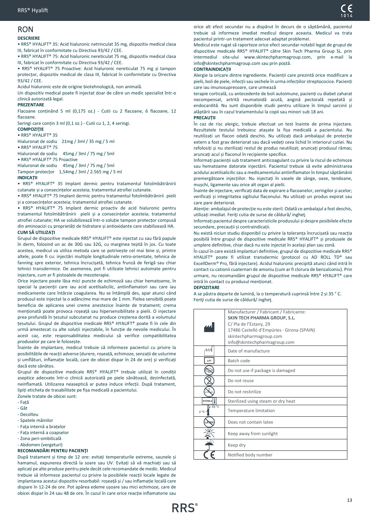## <span id="page-12-0"></span>RON

## **DESCRIERE**

• RRS® HYALIFT® 35: Acid hialuronic netrinculat 35 mg, dispozitiv medical clasa III, fabricat în conformitate cu Directiva 93/42 / CEE.

• RRS® HYALIFT® 75: Acid hialuronic nereticulat 75 mg, dispozitiv medical clasa III, fabricat în conformitate cu Directiva 93/42 / CEE.

• RRS® HYALIFT® 75 Proactive: Acid hialuronic nereticulat 75 mg și tampon protecțor, dispozitiv medical de clasa III, fabricat în conformitate cu Directiva 93/42 / CEE.

Acidul hialuronic este de origine biotehnologică, non animală.

Un dispozitiv medical poate fi injectat doar de către un medic specialist într-o clinică autorizată legal.

#### **PREZENTARE**

Flacoane conținând 5 ml (0,175 oz.) - Cutii cu 2 flacoane, 6 flacoane, 12 flacoane.

Seringi care conțin 3 ml (0,1 oz.) - Cutii cu 1, 2, 4 seringi.

#### **COMPOZIŢIE** • RRS® HYALIFT® 35

Hialuronat de sodiu 21mg / 3ml / 35 mg / 5 ml • RRS® HYALIFT® 75

Hialuronat de sodiu 45mg / 3ml / 75 mg / 5ml

• RRS® HYALIFT® 75 Proactive

Hialuronat de sodiu 45mg / 3ml / 75 mg / 5ml Tampon protecțor 1,54mg / 3ml / 2.565 mg / 5 ml

#### **INDICAȚII**

• RRS® HYALIFT® 35 Implant dermic pentru tratamentul fotoîmbătrânirii cutanate și a consecințelor acesteia; tratamentul atrofiei cutanate.

• RRS® HYALIFT® 75 Implant dermic pentru tratamentul fotoîmbătrânirii pielii și a consecințelor acesteia; tratamentul atrofiei cutanate.

• RRS® HYALIFT® 75 Implant dermic proactiv de acid hialuronic pentru tratamentul fotoîmbătrânirii pielii și a consecințelor acesteia; tratamentul atrofiei cutanate; HA se solubilizează într-o soluție tampon protecțor compusă din aminoacizi cu proprietăți de hidratare și antioxidante care stabilizează HA. **CUM SĂ UTILIZAȚI**

Grupul de dispozitive medicale RRS® HYALIFT® este injectat cu sau fără papule în derm, folosind un ac de 30G sau 32G, cu marginea teșită în jos. Cu toate acestea, medicul va utiliza metoda care se potrivește cel mai bine și, printre altele, poate fi cu: injectări multiple longitudinale retro-orientate, tehnica de fanning spre exterior, tehnica încrucișată, tehnica frunză de ferigă sau chiar tehnici transdermice. De asemenea, pot fi utilizate tehnici automate pentru injectare, cum ar fi pistoalele de mezoterapie.

Orice injectare poate lăsa mici puncte de echimoză sau chiar hematoame, în special la pacienții care iau acid acetilsalicilic, antiinflamatori sau care iau medicamente care întârzie coagularea. Nu se întâmplă des, apar atunci când produsul este injectat la o adâncime mai mare de 1 mm. Pielea sensibilă poate beneficia de aplicarea unei creme anestezice înainte de tratament; crema menționată poate provoca roșeață sau hipersensibilitate a pielii. O injectare prea profundă în țesutul subcutanat nu produce creșterea dorită a volumului țesutului. Grupul de dispozitive medicale RRS® HYALIFT® poate fi în cele din urmă amestecat cu alte soluții injectabile, în funcție de nevoile medicului. În acest caz, este responsabilitatea medicului să verifice compatibilitatea produselor pe care le folosește.

Înainte de implantare, medicul trebuie să informeze pacientul cu privire la posibilitățile de reacții adverse (durere, roșeață, echimoze, senzații de usturime și umflături, inflamație locală, care de obicei dispar în 24 de ore) și verificați dacă este sănătos.

Grupul de dispozitive medicale RRS® HYALIFT® trebuie utilizat în condiții aseptice adecvate într-o clinică autorizată pe piele sănătoasă, dezinfectată, neinflamată. Utilizarea neaseptică ar putea induce infecții. După tratament, lipiți eticheta de trasabilitate pe fișa medicală a pacientului.

Zonele tratate de obicei sunt:

- Față
- Gât
- Decolteu
- Spatele mâinilor
- Fața internă a brațelor
- Fața internă a coapselor
- Zona peri-ombilicală

#### - Abdomen (vergeturi) **RECOMANDĂRI PENTRU PACIENŢI**

După tratament și timp de 12 ore: evitați temperaturile extreme, saunele și hamamul, expunerea directă la soare sau UV. Evitați să vă machiați sau să aplicați pe alte produse pentru piele decât cele recomandate de medic. Medicul trebuie să informeze pacientul cu privire la posibilele reacții locale legate de implantarea acestui dispozitiv resorbabil: roșeață și / sau inflamație locală care dispare în 12-24 de ore. Pot apărea edeme ușoare sau mici echimoze, care de obicei dispar în 24 sau 48 de ore. În cazul în care orice reacție inflamatorie sau

orice alt efect secundar nu a dispărut în decurs de o săptămână, pacientul trebuie să informeze imediat medicul despre aceasta. Medicul va trata pacientul printr-un tratament adecvat adaptat problemei.

Medicul este rugat să raporteze orice efect secundar notabil legat de grupul de dispozitive medicale RRS® HYALIFT® către Skin Tech Pharma Group SL. prin intermediul site-ului www.skintechpharmagroup.com, prin e-mail la info@skintechpharmagroup.com sau prin poștă.

#### **CONTRAINDICAȚII**

Alergie la oricare dintre ingrediente. Pacienții care prezintă orice modificare a pielii, boli de piele, infecții sau sechele ȋn urma infecțiilor streptococice. Pacienți care iau imunosupresoare, care urmează

terapie corticală, cu antecedente de boli autoimune, pacienți cu diabet zaharat necompensat, artrită reumatoidă acută, angină pectorală repetată și endocardită. Nu sunt disponibile studii pentru utilizare în timpul sarcinii și alăptării sau în cazul tratamentului la copii sau minori sub 18 ani.

#### **PRECAUȚII**

În caz de risc alergic, trebuie efectuat un test înainte de prima injectare. Rezultatele testului trebuiesc atașate la fișa medicală a pacientului. Nu reutilizați un flacon odată deschis. Nu utilizați dacă ambalajul de protecție extern a fost grav deteriorat sau dacă vedeți ceva lichid în interiorul cutiei. Nu refolosiți și nu sterilizați restul de produs neutilizat; aruncați produsul rămas; aruncați acul și flaconul în recipiente specifice.

Informați pacienții sub tratament anticoagulant cu privire la riscul de echimoze sau hematoame datorate injectării. Pacientul trebuie să evite administrarea acidului acetilsalicilic sau a medicamentului antiinflamator în timpul săptămânii premergătoare injecțiilor. Nu injectați în vasele de sânge, oase, tendoane, mușchi, ligamente sau orice alt organ al pielii.

Înainte de injectare, verificați data de expirare a flacoanelor, seringilor și acelor; verificați și integritatea sigiliului flaconului. Nu utilizați un produs expirat sau care pare deteriorat.

Atenție: ambalajul de protecție nu este steril. Odată ce ambalajul a fost deschis, utilizați imediat. Feriți cuția de surse de căldură/ inghet.

Informați pacientul despre caracteristicile produsului și despre posibilele efecte secundare, precauții și contraindicații.

Nu există niciun studiu disponibil cu privire la toleranța încrucișată sau reacția posibilă între grupul de dispozitive medicale RRS® HYALIFT® și produsele de umplere definitive, chiar dacă nu este injectat în același plan sau zonă.

În cazul în care există implanturi definitive, grupul de dispozitive medicale RRS® HYALIFT® poate fi utilizat transdermic (protocol cu AD ROLL TD® sau ExcellDerm® Pro, fără injectare). Acidul hialuronic precipită atunci când intră în contact cu cationii cuaternari de amoniu (cum ar fi clorura de benzalconiu). Prin urmare, nu recomandăm grupul de dispozitive medicale RRS® HYALIFT® care intră în contact cu produsul menționat.

#### **DEPOZITARE**

A se păstra departe de lumină, la o temperatură cuprinsă între 2 și 35 ° C. Feriţi cutia de surse de căldură/ ingheţ.

|                        | Manufacturer / Fabricant / Fabricante:<br>SKIN TECH PHARMA GROUP, S.L.<br>C/ Pla de l'Estany, 29<br>17486 Castelló d'Empúries · Girona (SPAIN)<br>skintechpharmagroup.com<br>info@skintechpharmagroup.com |
|------------------------|-----------------------------------------------------------------------------------------------------------------------------------------------------------------------------------------------------------|
|                        | Date of manufacture                                                                                                                                                                                       |
| LOT                    | Batch code                                                                                                                                                                                                |
|                        | Do not use if package is damaged                                                                                                                                                                          |
|                        | Do not reuse                                                                                                                                                                                              |
|                        | Do not restirilize                                                                                                                                                                                        |
| STERILE                | Sterilized using steam or dry heat                                                                                                                                                                        |
| 35 °C<br>$2^{\circ}$ C | Temperature limitation                                                                                                                                                                                    |
|                        | Does not contain latex                                                                                                                                                                                    |
|                        | Keep away from sunlight                                                                                                                                                                                   |
|                        | Keep dry                                                                                                                                                                                                  |
|                        | Notified body number                                                                                                                                                                                      |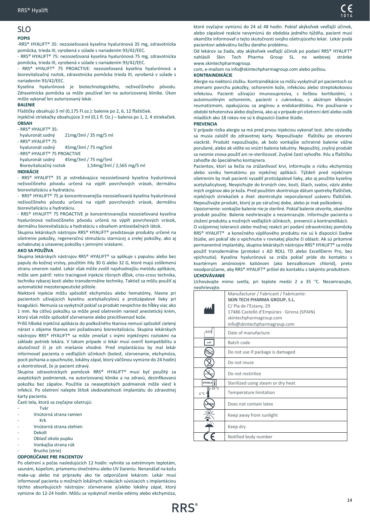#### <span id="page-13-0"></span>SLO **POPIS**

-RRS® HYALIFT® 35: nezosieťovaná kyselina hyalurónová 35 mg, zdravotnícka pomôcka, trieda III, vyrobená v súlade s nariadením 93/42/EEC.

- RRS® HYALIFT® 75: nezosieťovaná kyselina hyalurónová 75 mg, zdravotnícka pomôcka, trieda III, vyrobená v súlade s nariadením 93/42/EEC.

.<br>- RRS® HYALIFT® 75 PROACTIVE: nezosieťovaná kyselina hyalurónová a biorevitalizačný roztok, zdravotnícka pomôcka trieda III, vyrobená v súlade s nariadením 93/42/EEC.

Kyselina hyalurónová je biotechnologického, neživočíšneho pôvodu. Zdravotnícka pomôcka sa môže používať len na autorizovanej klinike. Úkon môže vykonať len autorizovaný lekár.

#### **BALENIE**

Fľaštičky obsahujú 5 ml (0,175 Fl.oz.): balenie po 2, 6, 12 fľaštičiek.

Injekčné striekačky obsahujúce 3 ml (0,1 fl. Oz.) – balenia po 1, 2, 4 striekačiek. **OBSAH**

## - RRS® HYALIFT® 35:

hyaluronát sodný 21mg/3ml / 35 mg/5 ml

- RRS® HYALIFT® 75

- hyaluronát sodný 45mg/3ml / 75 mg/5ml
- RRS® HYALIFT® 75 PROACTIVE

hyaluronát sodný 45mg/3ml / 75 mg/5ml

 Biorevitalizačný roztok 1,54mg/3ml / 2,565 mg/5 ml **INDIKÁCIE**

- RRS® HYALIFT® 35 je vstrebávajúca nezosieťovaná kyselina hyalurónová neživočíšneho pôvodu určená na výplň povrchových vrások, dermálnu biorevitalizáciu a hydratáciu.

- RRS® HYALIFT® 75 je koncentrovanejšia nezosieťovaná kyselina hyalurónová neživočíšneho pôvodu určená na výplň povrchových vrások, dermálnu biorevitalizáciu a hydratáciu.

- RRS® HYALIFT® 75 PROACTIVE je koncentrovanejšia nezosieťovaná kyselina hyalurónová neživočíšneho pôvodu určená na výplň povrchových vrások, dermálnu biorevitalizáciu a hydratáciu s obsahom antioxidačných látok.

Skupina lekárskych nástrojov RRS® HYALIFT® predstavuje produkty určené na ošetrenie pokožky, regeneračnú stimuláciu starnúcej a zrelej pokožky, ako aj ochabnutej a unavenej pokožky s jemnými vráskami.

#### **AKO SA POUŽÍVA**

Skupina lekárskych nástrojov RRS® HYALIFT® sa aplikuje s papulou alebo bez papuly do kožnej vrstvy, použitím ihly 30 G alebo 32 G, ktoré majú zošikmenú stranu smerom nadol. Lekár však môže zvoliť najvhodnejšiu metódu aplikácie, môže sem patriť: retro tracingové injekcie rôznych dĺžok, criss-cross technika, technika rybacej kosti alebo transdermálne techniky. Taktiež sa môžu použiť aj automatické mezoterapeutické pištole.

Niektoré injekcie môžu spôsobiť ekchymózu alebo hematómy, hlavne pri pacientoch užívajúcich kyselinu acetylsalicylovú a protizápalové lieky pri koagulácii. Nemusia sa vyskytnúť pokiaľ sa produkt nevpichne do hĺbky viac ako 1 mm. Na citlivú pokožku sa môže pred ošetrením naniesť anestetický krém, ktorý však môže spôsobiť sčervenanie alebo precitlivenosť kože.

Príliš hlboká injekčná aplikácia do podkožného tkaniva nemusí spôsobiť cielený nárast v objeme tkaniva ani požadovanú biorevitalizáciu. Skupina lekárskych nástrojov RRS® HYALIFT® sa môže zmiešať s inými injekčnými roztokmi na základe potrieb lekára. V takom prípade si lekár musí overiť kompatibilitu a skutočnosť či je ich miešanie vhodné. Pred implantáciou by mal lekár informovať pacienta o vedľajších účinkoch (bolesť, sčervenanie, ekchymóza, pocit pichania a opuchnutie, lokálny zápal, ktorý väčšinou vymizne do 24 hodín) a skontrolovať, že je pacient zdravý.

Skupina zdravotníckych pomôcok RRS® HYALIFT® musí byť použitý za aseptických podmienok, na autorizovanej klinike a na zdravú, dezinfikovanú pokožku bez zápalov. Použitie za neaseptických podmienok môže viesť k infekcii. Po ošetrení nalepte štítok sledovatelnosti implantátu do zdravotnej karty pacienta.

Časti tela, ktorá sa zvyčajne ošetrujú:

- **Tvár**
- Vnútorná strana ramien
- Krk
- Vnútorná strana stehien
- Dekolt
- Oblasť okolo pupku
- Vonkajšia strana rúk
- Brucho (strie)

#### **ODPORÚČANIE PRE PACIENTOV**

Po ošetrení a počas nasledujúcich 12 hodín: vyhnite sa extrémnym teplotám, saunám, kúpeľom, priamemu slnečnému alebo UV žiareniu. Nenanášať na kožu make-up alebo iné prípravky ako tie odporúčané lekárom. Lekár musí informovať pacienta o možných lokálnych reakciách súvisiacich s implantáciou týchto absorbujúcich nástrojov: sčervenanie a/alebo lokálny zápal, ktorý vymizne do 12-24 hodín. Môžu sa vyskytnúť menšie edémy alebo ekchymóza,

ktoré zvyčajne vymiznú do 24 až 48 hodín. Pokiaľ akýkoľvek vedľajší účinok, alebo zápalové reakcie nevymiznú do obdobia jedného týždňa, pacient musí okamžite informovať o tejto skutočnosti svojho ošetrujúceho lekár. Lekár podá pacientovi adekvátnu liečbu daného problému.

Od lekárov sa žiada, aby akýkoľvek vedľajší účinok po podaní RRS® HYALIFT® nahlásili Skin Tech Pharma Group SL. na webovej stránke www.skintechpharmagroup.

com, e-mailom na info@skintechpharmagroup.com alebo poštou.

#### **KONTRAINDIKÁCIE**

Alergie na niektorú zložku. Kontraindikácie sa môžu vyskytnúť pri pacientoch so zmenami povrchu pokožky, ochorením kože, infekciou alebo streptokokovou infekciou. Pacienti užívajúci imunosupresíva, s liečbou kortikoidmi, s autoimunitným ochorením, pacienti s cukrovkou, s akútnym kĺbovým reumatizmom, opakujúcou sa angínou a endokarditídou. Pre používanie v období tehotenstva alebo dojčenia, ako aj v prípade pri ošetrení detí alebo osôb mladších ako 18 rokov nie sú k dispozícii žiadne štúdie.

#### **PREVENCIA**

V prípade rizika alergie sa má pred prvou injekciou vykonať test. Jeho výsledky sa musia založiť do zdravotnej karty. Nepoužívajte fľaštičku po otvorení viackrát. Produkt nepoužívajte, ak bolo vonkajšie ochranné balenie vážne porušené, alebo ak vidíte vo vnútri balenia tekutiny. Nepoužitý, zvyšný produkt sa nesmie znova použiť ani re-sterilizovať. Zvyšné časti vyhoďte. Ihlu a fľaštičku zahoďte do špeciálneho kontajnera.

Pacientov, ktorí sa liečia na zrážanlivosť krvi, informujte o riziku ekchymózy alebo vzniku hematómu po injekčnej aplikácii. Týždeň pred injekčným ošetrením by mali pacienti vysadiť protizápalové lieky, ako aj použitie kyseliny acetylsalicylovej. Nevpichujte do krvných ciev, kostí, šliach, svalov, väzív alebo iných orgánov ako je koža. Pred použitím skontroluje dátum spotreby fľaštičiek, injekčných striekačiek a ihiel: skontrolujte neporušenosť uzáveru fľaštičiek. Nepoužívajte produkt, ktorý je po záručnej dobe, alebo je inak poškodený.

Upozornenie: vonkajšie balenie nie je sterilné. Pokiaľ balenie otvoríte, okamžite produkt použite. Balenie neohrievajte a nezamrazujte. Informujte pacienta o zložení produktu a možných vedľajších účinkoch, prevencii a kontraindikácii.

O vzájomnej tolerancii alebo možnej reakcii pri podaní zdravotníckej pomôcky RRS® HYALIFT® a konečného výplňového produktu nie sú k dispozícii žiadne štúdie, ani pokiaľ ide o vpichnutie v rovnakej ploche či oblasti. Ak sú prítomné permanentné implantáty, skupina lekárskych nástrojov RRS® HYALIFT® sa môže použiť transdermálne (protokol s AD ROLL TD alebo ExcellDerm Pro, bez vpichnutia). Kyselina hyalurónová sa zráža pokiaľ príde do kontaktu s kvartérnym amóniovým katiónom (ako benzalkonium chlorid), preto neodporúčame, aby RRS® HYALIFT® prišiel do kontaktu s takýmto produktom. **UCHOVÁVANIE**

Uchovávajte mimo svetla, pri teplote medzi 2 a 35 °C. Nezamrazujte, neohrievajte.

| .                      |                                                                                                                                                                                                           |
|------------------------|-----------------------------------------------------------------------------------------------------------------------------------------------------------------------------------------------------------|
|                        | Manufacturer / Fabricant / Fabricante:<br>SKIN TECH PHARMA GROUP, S.L.<br>C/ Pla de l'Estany, 29<br>17486 Castelló d'Empúries · Girona (SPAIN)<br>skintechpharmagroup.com<br>info@skintechpharmagroup.com |
| 11                     | Date of manufacture                                                                                                                                                                                       |
| LOT                    | Batch code                                                                                                                                                                                                |
|                        | Do not use if package is damaged                                                                                                                                                                          |
|                        | Do not reuse                                                                                                                                                                                              |
|                        | Do not restirilize                                                                                                                                                                                        |
| STERILE                | Sterilized using steam or dry heat                                                                                                                                                                        |
| 35 °C<br>$2^{\circ}$ C | Temperature limitation                                                                                                                                                                                    |
|                        | Does not contain latex                                                                                                                                                                                    |
|                        | Keep away from sunlight                                                                                                                                                                                   |
|                        | Keep dry                                                                                                                                                                                                  |
|                        | Notified body number                                                                                                                                                                                      |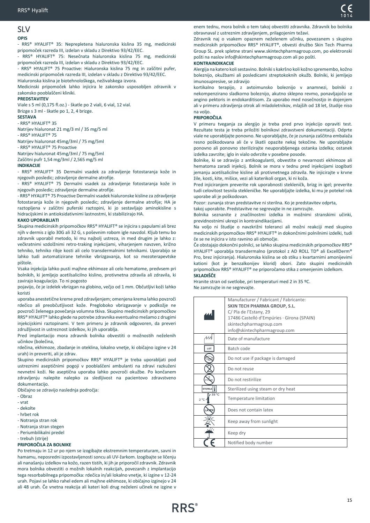#### <span id="page-14-0"></span>SLV **OPIS**

- RRS® HYALIFT® 35: Neprepletena hialuronska kislina 35 mg, medicinski pripomoček razreda III, izdelan v skladu z Direktivo 93/42/EEC.

RRS® HYALIFT® 75: Nesečnata hialuronska kislina 75 mg, medicinski pripomoček razreda III, izdelan v skladu z Direktivo 93/42/EEC.

- RRS® HYALIFT® 75 Proactive: Hialuronska kislina 75 mg in zaščitni pufer, medicinski pripomoček razreda III, izdelan v skladu z Direktivo 93/42/EEC. Hialuronska kislina je biotehnološkega, neživalskega izvora.

Medicinski pripomoček lahko injicira le zakonsko usposobljen zdravnik v zakonsko pooblaščeni kliniki.

#### **PREDSTAVITEV**

Viale s 5 ml (0,175 fl.oz.) - škatle po 2 viali, 6 vial, 12 vial. Brizge s 3 ml - škatle po 1, 2, 4 brizge.

**SESTAVA**

- RRS® HYALIFT® 35

Natrijev hialuronat 21 mg/3 ml / 35 mg/5 ml

- RRS® HYALIFT® 75

Natrijev hialuronat 45mg/3ml / 75 mg/5ml

- RRS® HYALIFT® 75 Proactive

Natrijev hialuronat 45mg/3ml / 75 mg/5ml Zaščitni pufr 1,54 mg/3ml / 2,565 mg/5 ml

#### **INDIKACIJE**

- RRS® HYALIFT® 35 Dermalni vsadek za zdravljenje fotostaranja kože in njegovih posledic; zdravljenje dermalne atrofije.

- RRS® HYALIFT® 75 Dermalni vsadek za zdravljenje fotostaranja kože in njegovih posledic; zdravljenje dermalne atrofije.

- RRS® HYALIFT® 75 Proactive Dermalni vsadek hialuronske kisline za zdravljenje fotostaranja kože in njegovih posledic; zdravljenje dermalne atrofije; HA je raztopljena v zaščitni puferski raztopini, ki jo sestavljajo aminokisline s hidracijskimi in antioksidativnimi lastnostmi, ki stabilizirajo HA.

#### **KAKO UPORABLJATI**

Skupina medicinskih pripomočkov RRS® HYALIFT® se injicira s papulami ali brez njih v dermis z iglo 30G ali 32 G, s poševnim robom igle navzdol. Kljub temu bo zdravnik uporabil metodo, ki mu najbolj ustreza, in med drugim je lahko z: večkratnimi vzdolžnimi retro-traking injekcijami, viharjenjem navzven, križno tehniko, tehniko ribje kosti ali celo transdermalnimi tehnikami. Uporabijo se lahko tudi avtomatizirane tehnike vbrizgavanja, kot so mezoterapevtske pištole.

Vsaka injekcija lahko pusti majhne ekhimoze ali celo hematome, predvsem pri bolnikih, ki jemljejo acetilsalicilno kislino, protivnetna zdravila ali zdravila, ki zavirajo koagulacijo. To ni pogosto

pojavijo, če je izdelek vbrizgan na globino, večjo od 1 mm. Občutljivi koži lahko koristi

uporaba anestetične kreme pred zdravljenjem; omenjena krema lahko povzroči rdečico ali preobčutljivost kože. Pregloboko vbrizgavanje v podkožje ne povzroči želenega povečanja volumna tkiva. Skupino medicinskih pripomočkov RRS® HYALIFT® lahko glede na potrebe zdravnika eventualno mešamo z drugimi injekcijskimi raztopinami. V tem primeru je zdravnik odgovoren, da preveri združljivost in ustreznost izdelkov, ki jih uporablja.

Pred implantacijo mora zdravnik bolnika obvestiti o možnostih neželenih učinkov (bolečina,

rdečina, ekhimoze, zbadanje in oteklina, lokalno vnetje, ki običajno izgine v 24 urah) in preveriti, ali je zdrav.

Skupino medicinskih pripomočkov RRS® HYALIFT® je treba uporabljati pod ustreznimi aseptičnimi pogoji v pooblaščeni ambulanti na zdravi razkuženi nevnetni koži. Ne aseptična uporaba lahko povzroči okužbe. Po končanem zdravljenju nalepite nalepko za sledljivost na pacientovo zdravstveno dokumentacijo.

Običajno se zdravijo naslednja področja:

- Obraz
- vrat
- dekolte
- hrbet rok
- Notranja stran rok
- Notranja stran stegen - Periumbilikalni predel
- trebuh (strije)

#### **PRIPOROČILA ZA BOLNIKE**

Po tretmaju in 12 ur po njem se izogibajte ekstremnim temperaturam, savni in hamamu, neposredni izpostavljenosti soncu ali UV-žarkom. Izogibajte se ličenju ali nanašanju izdelkov na kožo, razen tistih, ki jih je priporočil zdravnik. Zdravnik mora bolnika obvestiti o možnih lokalnih reakcijah, povezanih z implantacijo tega resorbabilnega pripomočka: rdečica in/ali lokalno vnetje, ki izgine v 12-24 urah. Pojavi se lahko rahel edem ali majhne ekhimoze, ki običajno izginejo v 24 ali 48 urah. Če vnetna reakcija ali kateri koli drug neželeni učinek ne izgine v

enem tednu, mora bolnik o tem takoj obvestiti zdravnika. Zdravnik bo bolnika obravnaval z ustreznim zdravljenjem, prilagojenim težavi.

Zdravnik naj o vsakem opaznem neželenem učinku, povezanem s skupino medicinskih pripomočkov RRS® HYALIFT®, obvesti družbo Skin Tech Pharma Group SL. prek spletne strani www.skintechpharmagroup.com, po elektronski pošti na naslov info@skintechpharmagroup.com ali po pošti.

#### **KONTRAINDIKACIJE**

Alergija na katero koli sestavino. Bolniki s kakršno koli kožno spremembo, kožno boleznijo, okužbami ali posledicami streptokoknih okužb. Bolniki, ki jemljejo imunosupresive, se zdravijo

kortikalno terapijo, z avtoimunsko boleznijo v anamnezi, bolniki z nekompenzirano sladkorno boleznijo, akutno sklepno revmo, ponavljajočo se angino pektoris in endokarditisom. Za uporabo med nosečnostjo in dojenjem ali v primeru zdravljenja otrok ali mladoletnikov, mlajših od 18 let, študije niso na voljo.

#### **PRIPOROČILA**

V primeru tveganja za alergijo je treba pred prvo injekcijo opraviti test. Rezultate testa je treba priložiti bolnikovi zdravstveni dokumentaciji. Odprte viale ne uporabljajte ponovno. Ne uporabljajte, če je zunanja zaščitna embalaža resno poškodovana ali če v škatli opazite nekaj tekočine. Ne uporabljajte ponovno ali ponovno sterilizirajte neuporabljenega ostanka izdelka; ostanek izdelka zavrzite; iglo in vialo odvrzite v posebne posode.

Bolnike, ki se zdravijo z antikoagulanti, obvestite o nevarnosti ekhimoze ali hematoma zaradi injekcij. Bolnik se mora v tednu pred injekcijami izogibati jemanju acetilsalicilne kisline ali protivnetnega zdravila. Ne injicirajte v krvne žile, kosti, kite, mišice, vezi ali katerikoli organ, ki ni koža.

Pred injiciranjem preverite rok uporabnosti stekleničk, brizg in igel; preverite tudi celovitost tesnila stekleničke. Ne uporabljajte izdelka, ki mu je potekel rok uporabe ali je poškodovan.

Pozor: zunanja stran predstavitve ni sterilna. Ko je predstavitev odprta,

takoj uporabite. Predstavitve ne segrevajte in ne zamrzujte.

Bolnika seznanite z značilnostmi izdelka in možnimi stranskimi učinki, previdnostnimi ukrepi in kontraindikacijami.

Na voljo ni študije o navzkrižni toleranci ali možni reakciji med skupino medicinskih pripomočkov RRS® HYALIFT® in dokončnimi polnilnimi izdelki, tudi če se ne injicira v isto ravnino ali območje.

Če obstajajo dokončni polnilci, se lahko skupina medicinskih pripomočkov RRS® HYALIFT® uporablja transdermalno (protokol z AD ROLL TD® ali ExcellDerm® Pro, brez injiciranja). Hialuronska kislina se ob stiku s kvartarnimi amonijevimi kationi (kot je benzalkonijev klorid) obori. Zato skupini medicinskih pripomočkov RRS® HYALIFT® ne priporočamo stika z omenjenim izdelkom. **SKLADIŠČE**

Hranite stran od svetlobe, pri temperaturi med 2 in 35 ºC. Ne zamrzujte in ne segrevajte.

|                                 | Manufacturer / Fabricant / Fabricante:<br><b>SKIN TECH PHARMA GROUP, S.L.</b><br>C/ Pla de l'Estany, 29<br>17486 Castelló d'Empúries · Girona (SPAIN)<br>skintechpharmagroup.com<br>info@skintechpharmagroup.com |
|---------------------------------|------------------------------------------------------------------------------------------------------------------------------------------------------------------------------------------------------------------|
| ЛA                              | Date of manufacture                                                                                                                                                                                              |
| LOT                             | Batch code                                                                                                                                                                                                       |
|                                 | Do not use if package is damaged                                                                                                                                                                                 |
|                                 | Do not reuse                                                                                                                                                                                                     |
|                                 | Do not restirilize                                                                                                                                                                                               |
| STERILE <sup>I</sup>            | Sterilized using steam or dry heat                                                                                                                                                                               |
| $35^{\circ}$ C<br>$2^{\circ}$ C | Temperature limitation                                                                                                                                                                                           |
|                                 | Does not contain latex                                                                                                                                                                                           |
|                                 | Keep away from sunlight                                                                                                                                                                                          |
|                                 | Keep dry                                                                                                                                                                                                         |
|                                 | Notified body number                                                                                                                                                                                             |